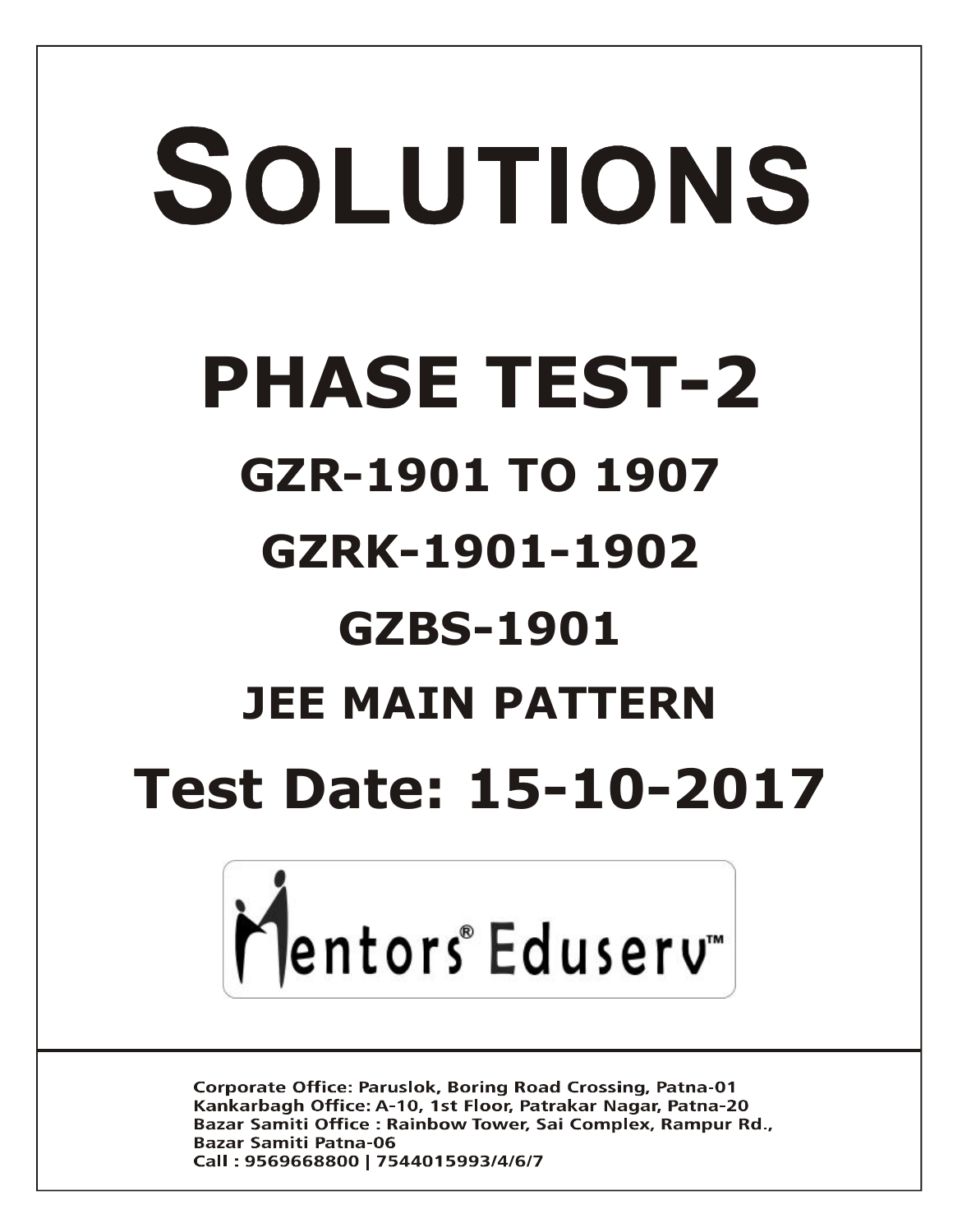# SOLUTIONS **PHASE TEST-2 GZR-1901 TO 1907 GZRK-1901-1902 GZBS-1901 JEE MAIN PATTERN Test Date: 15-10-2017**



**Corporate Office: Paruslok, Boring Road Crossing, Patna-01** Kankarbagh Office: A-10, 1st Floor, Patrakar Nagar, Patna-20 Bazar Samiti Office: Rainbow Tower, Sai Complex, Rampur Rd., **Bazar Samiti Patna-06** Call: 9569668800 | 7544015993/4/6/7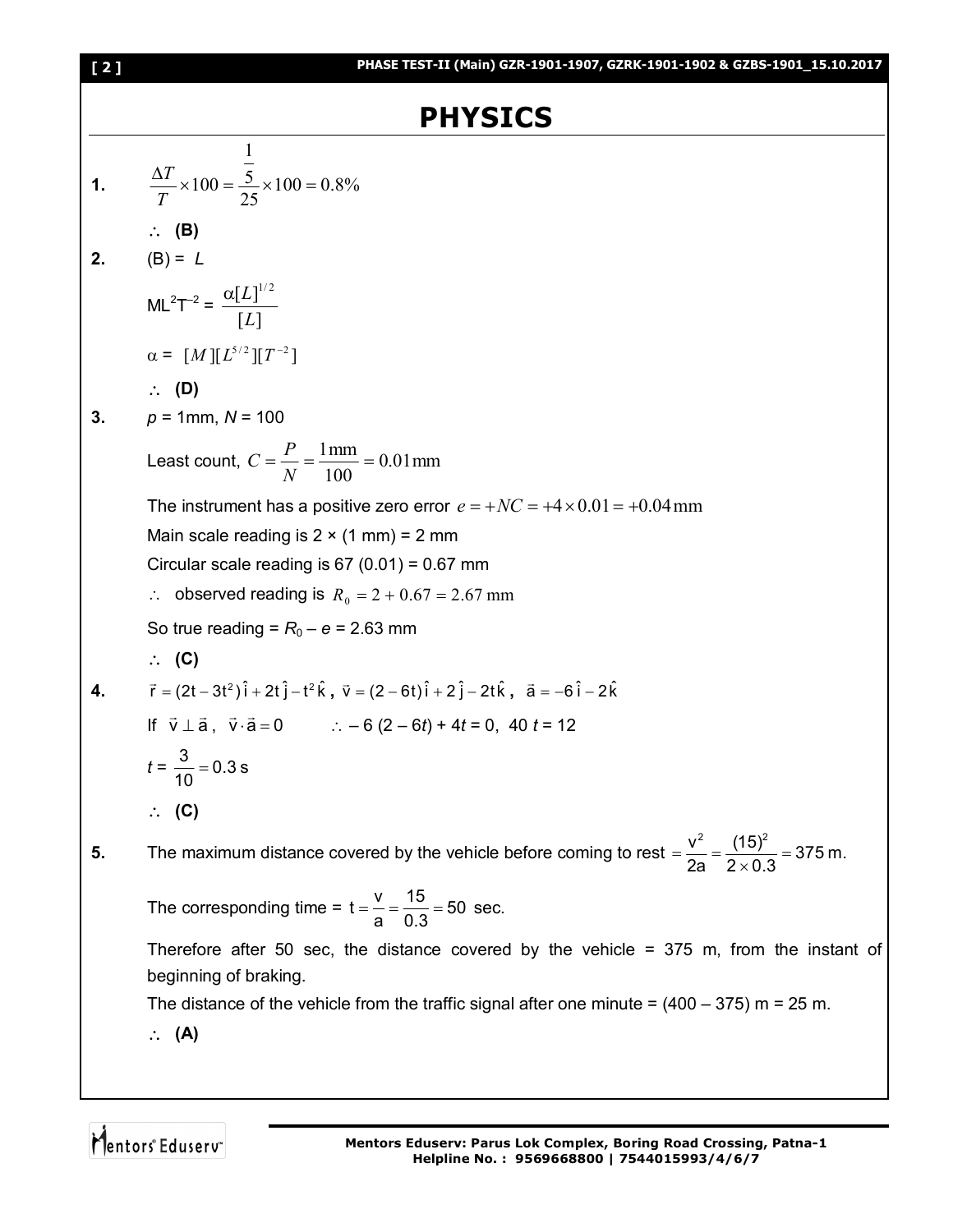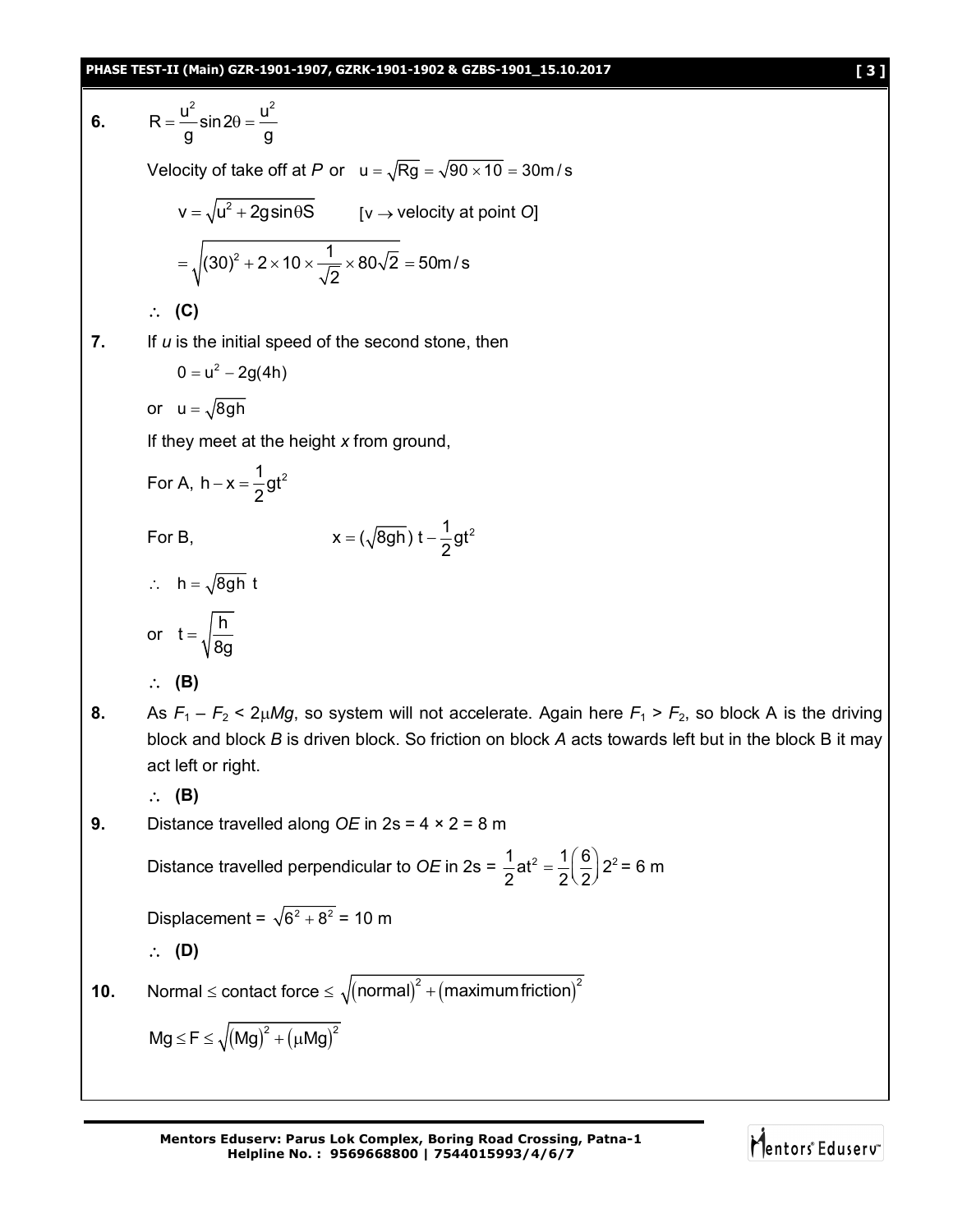6. 
$$
R = \frac{u^2}{g} \sin 2\theta = \frac{u^2}{g}
$$
  
\nVelocity of take off at *P* or  $u = \sqrt{Rg} = \sqrt{90 \times 10} = 30 \text{ m/s}$   
\n
$$
v = \sqrt{u^2 + 2g \sin \theta S} \qquad [v \rightarrow \text{velocity at point O}]
$$
\n
$$
= \sqrt{(30)^2 + 2 \times 10 \times \frac{1}{\sqrt{2}} \times 80\sqrt{2}} = 50 \text{ m/s}
$$
\n
$$
\therefore
$$
 (C)  
\n7. If *u* is the initial speed of the second stone, then  
\n
$$
0 = u^2 - 2g(4h)
$$
  
\nor 
$$
u = \sqrt{8gh}
$$
  
\nIf they meet at the height *x* from ground,  
\nFor A,  $h - x = \frac{1}{2}gt^2$   
\nFor B,  
\n
$$
x = (\sqrt{8gh})t - \frac{1}{2}gt^2
$$
  
\n
$$
\therefore h = \sqrt{8gh}t
$$
  
\nor  $t = \sqrt{\frac{h}{8g}}$   
\n
$$
\therefore
$$
 (B)  
\n8. As  $F_1 - F_2 \le 2\mu Mg$ , so system will not accelerate. Again here  $F_1 > F_2$ , so block A is the driving block and block *B* is driven block. So friction on block *A* acts towards left but in the block B it may act left or right.  
\n
$$
\therefore
$$
 (B)  
\n9. Distance travelled along *OE* in  $2s = 4 \times 2 = 8$  m  
\nDistance travelled perpendicular to *OE* in  $2s = \frac{1}{2}at^2 = \frac{1}{2}(\frac{6}{2})^2 = 6$  m  
\n
$$
\therefore
$$
 (D)  
\n10. Normal  $\le$  contact force  $\le \sqrt{(\text{normal})^2 + (\text{maximum friction})^2}$   
\n
$$
Mg \le F \le \sqrt{(\text{Mg})^2 + (\text{µ})^2}
$$

**Mentors Eduserv: Parus Lok Complex, Boring Road Crossing, Patna-1 Helpline No. : 9569668800 | 7544015993/4/6/7**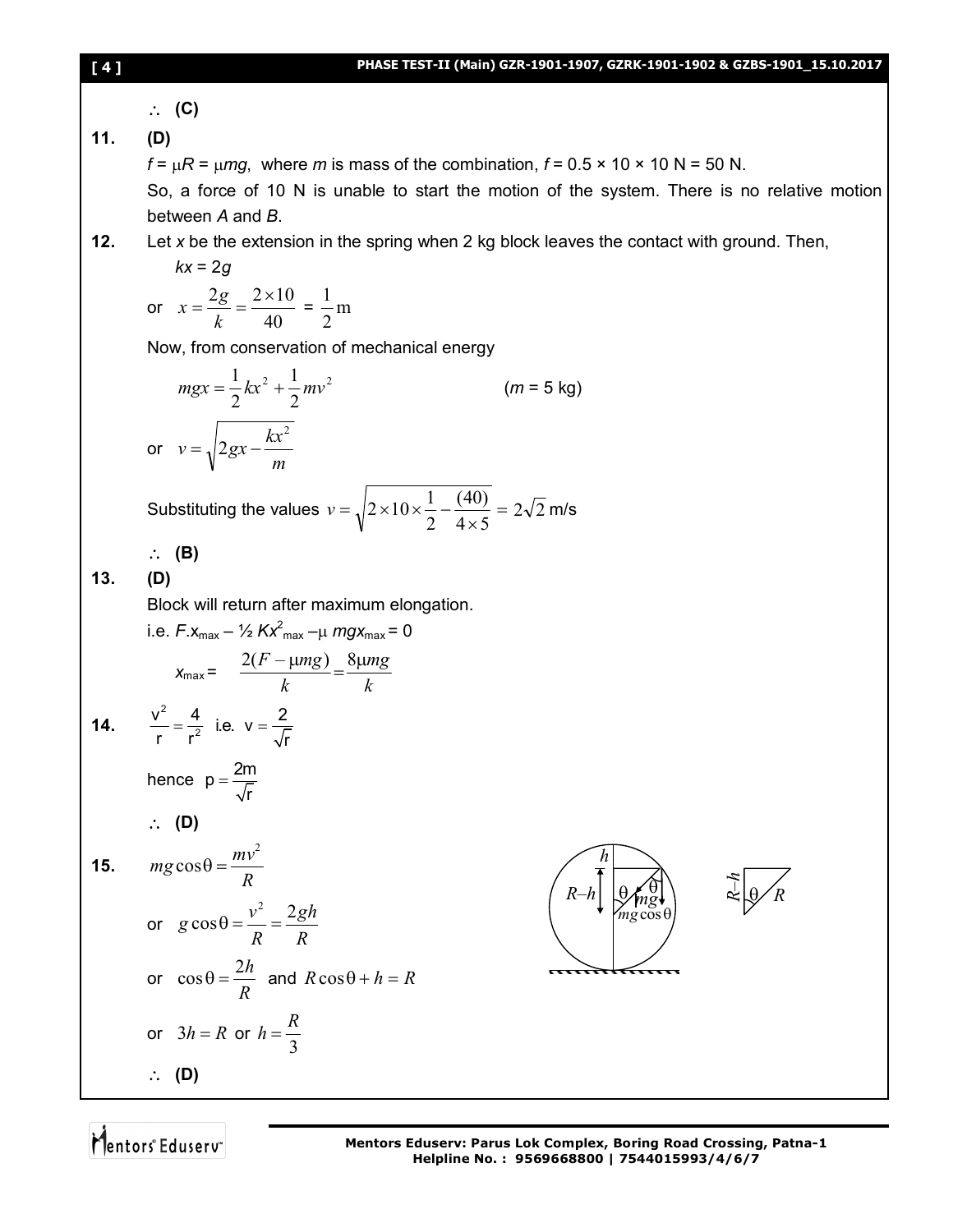**(C)**

**11. (D)**

 $f = \mu R = \mu mg$ , where *m* is mass of the combination,  $f = 0.5 \times 10 \times 10 N = 50 N$ .

So, a force of 10 N is unable to start the motion of the system. There is no relative motion between *A* and *B*.

**12.** Let *x* be the extension in the spring when 2 kg block leaves the contact with ground. Then,

$$
kx = 2g
$$
  
or  $x = \frac{2g}{k} = \frac{2 \times 10}{40} = \frac{1}{2}m$ 

Now, from conservation of mechanical energy

$$
mgx = \frac{1}{2}kx^{2} + \frac{1}{2}mv^{2}
$$
 (*m* = 5 kg)  
or  $v = \sqrt{2gx - \frac{kx^{2}}{m}}$ 

Substituting the values  $v = \sqrt{2 \times 10 \times \frac{1}{2} - \frac{100}{10}} =$  $\times$  $=\sqrt{2 \times 10 \times \frac{1}{2}}$  $4 \times 5$ (40) 2  $v = \sqrt{2 \times 10 \times \frac{1}{2} - \frac{(40)}{1.5}} = 2\sqrt{2}$  m/s

**(B)**

**13. (D)**

Block will return after maximum elongation.

i.e. 
$$
F.x_{max} - \frac{1}{2} Kx_{max}^2 - \mu mgx_{max} = 0
$$
  
\n
$$
x_{max} = \frac{2(F - \mu mg)}{k} = \frac{8\mu mg}{k}
$$
\n14.  $\frac{v^2}{r} = \frac{4}{r^2}$  i.e.  $v = \frac{2}{\sqrt{r}}$   
\nhence  $p = \frac{2m}{\sqrt{r}}$   
\n $\therefore$  (D)

$$
15. \qquad mg\cos\theta = \frac{mv^2}{R}
$$

or 
$$
g \cos \theta = \frac{v^2}{R} = \frac{2gh}{R}
$$
  
\nor  $\cos \theta = \frac{2h}{R}$  and  $R \cos \theta + h = R$   
\nor  $3h = R$  or  $h = \frac{R}{3}$   
\n $\therefore$  (D)

$$
\begin{pmatrix}\nh \\
R-h\n\end{pmatrix}\n\begin{matrix}\n\theta \\
\theta \\
mg\cos\theta \\
mg\cos\theta\n\end{matrix}
$$

 $\hat{\theta}$ – *hR*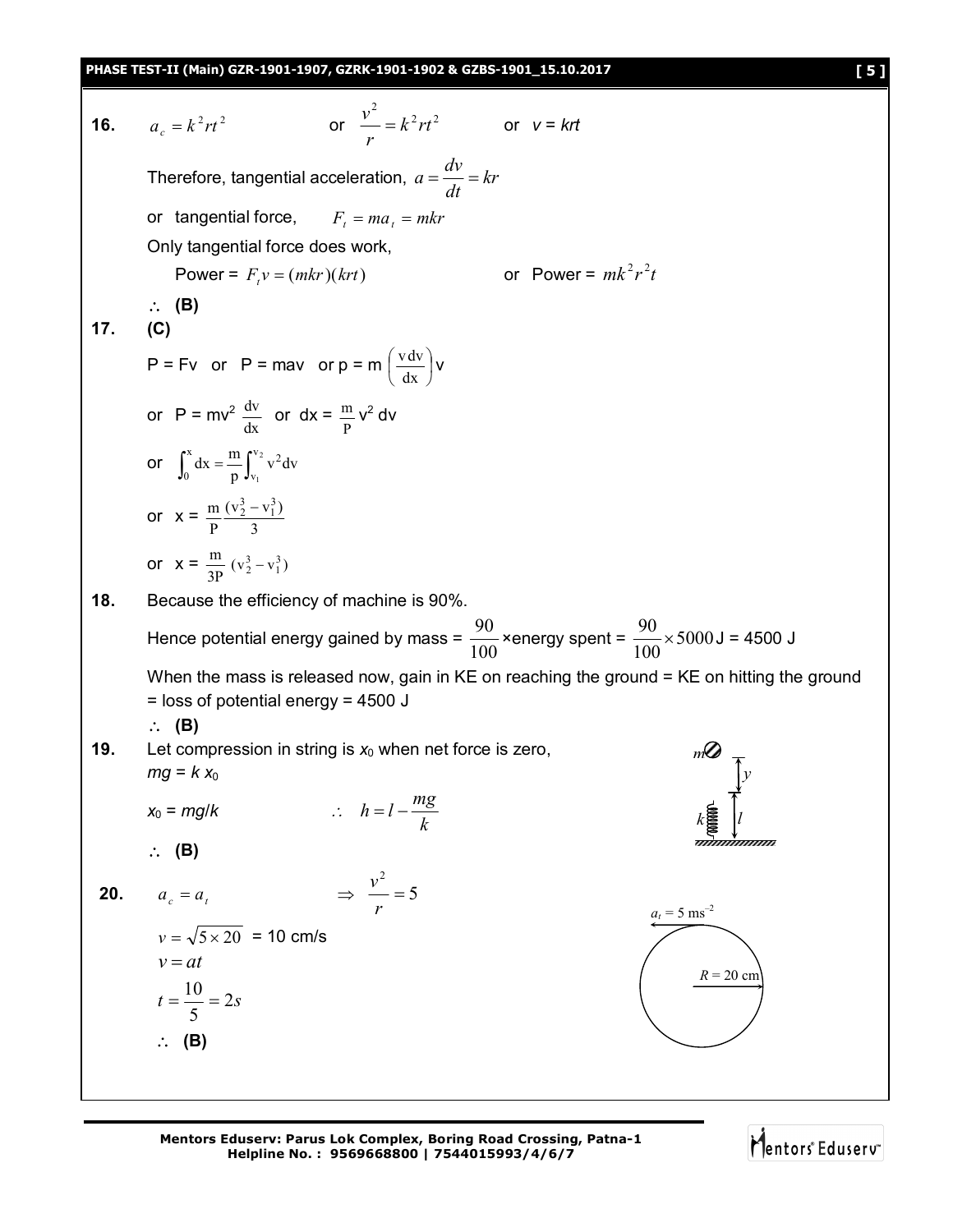**PHASE TEST-II (Main) GZR-1901-1907, GZRK-1901-1902 & GZBS-1901\_15.10.2017 [ 5 ]**

**16.**  $a_{1} = k^{2}rt^{2}$  $a_c = k^2 r t^2$  or  $\frac{v^2}{r} = k^2 r t^2$  $k^2$ rt *r*  $\frac{v^2}{r} = k^2 r t^2$  or  $v = krt$ Therefore, tangential acceleration,  $a = \frac{dv}{dx} = kr$ *dt*  $a = \frac{dv}{d}$ or tangential force,  $F_t = ma_t = mkr$ Only tangential force does work, Power =  $F_y v = (mkr)(krt)$  $t_i v = (mkr)(krt)$  or Power =  $mk^2r^2t$  **(B) 17. (C)**  $P = Fv$  or  $P = max$  or  $p = m \left| \frac{v \cdot w}{v} \right|$ J  $\left(\frac{v dv}{1}\right)$  $\overline{\phantom{0}}$ ſ dx  $\frac{v dv}{v}$  v or  $P = mv^2 \frac{dv}{dx}$  $rac{\text{dv}}{\text{dx}}$  or  $\text{dx} = \frac{\text{m}}{\text{p}} \text{v}^2 \text{dv}$ or  $\int_0^x dx = \frac{m}{p} \int_0^x dx$ 0 v v  $2^2$   $\sqrt{2}$  $\frac{1}{p}\int_{v_1} v^2 dv$  $dx = \frac{m}{m}$ or  $x = \frac{m}{p} \frac{(v_2)}{3}$  $(v_2^3 - v_1^3)$ P  $m (v_2^3 - v_1^3)$ or  $x = \frac{m}{3P}$  $\frac{m}{2D} (v_2^3 - v_1^3)$ **18.** Because the efficiency of machine is 90%. Hence potential energy gained by mass = 100  $\frac{90}{200}$ ×energy spent =  $\frac{90}{100}$ ×5000 100  $\frac{90}{100}$  × 5000 J = 4500 J When the mass is released now, gain in KE on reaching the ground = KE on hitting the ground = loss of potential energy = 4500 J **(B) 19.** Let compression in string is  $x_0$  when net force is zero,  $mg = k x_0$  $x_0 = mg/k$  : *k*  $h = l - \frac{mg}{l}$  **(B)** *k l m y* **20.**  $a_c = a_t$   $\implies \frac{b}{a} = 5$ 2  $=$ *r v*  $v = \sqrt{5 \times 20}$  = 10 cm/s  $v = at$  $t = \frac{18}{5} = 2s$ 5  $=\frac{10}{5}$  = **(B)**  $a_t = 5$  ms<sup>-2</sup>  $R = 20$  cm

**Mentors Eduserv: Parus Lok Complex, Boring Road Crossing, Patna-1 Helpline No. : 9569668800 | 7544015993/4/6/7**

Mentors Eduserv<sup>®</sup>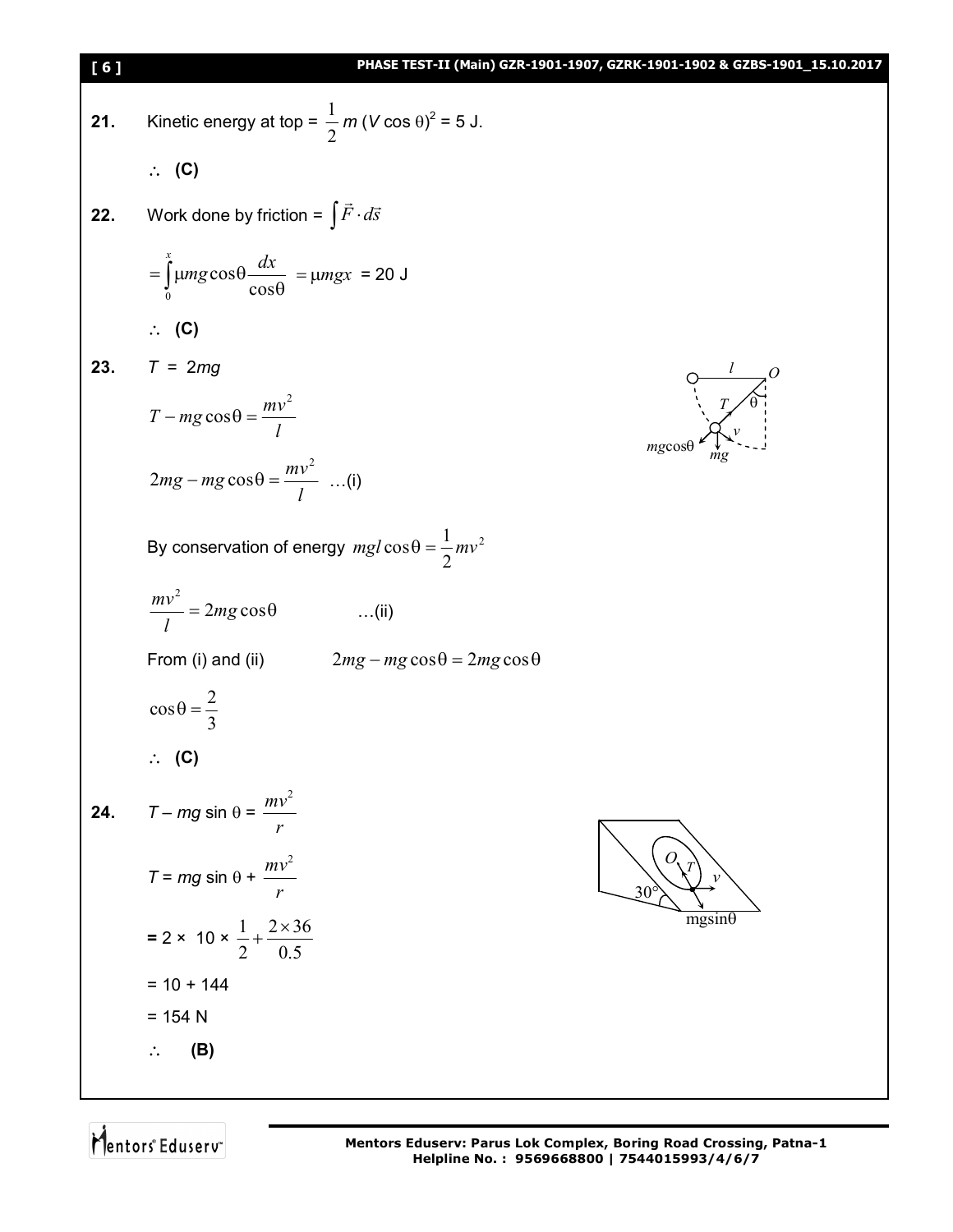| [6] | PHASE TEST-II (Main) GZR-1901-1907, GZRK-1901-1902 & GZBS-1901_15.10.2017          |
|-----|------------------------------------------------------------------------------------|
| 21. | Kinetic energy at top = $\frac{1}{2}$ m (V cos $\theta$ ) <sup>2</sup> = 5 J.      |
|     | $\therefore$ (C)                                                                   |
| 22. | Work done by friction = $\int \vec{F} \cdot d\vec{s}$                              |
|     | $=\int_{0}^{x} \mu mg \cos \theta \frac{dx}{\cos \theta} = \mu mgx = 20 \text{ J}$ |
|     | $\therefore$ (C)                                                                   |
| 23. | $T = 2mg$                                                                          |
|     | $\overrightarrow{r}$<br>$T - mg\cos\theta = \frac{mv^2}{l}$<br>$mg\cos\theta$      |
|     | $2mg - mg\cos\theta = \frac{mv^2}{l}$ (i)                                          |
|     | By conservation of energy $mgl\cos\theta = \frac{1}{2}mv^2$                        |
|     | $\frac{mv^2}{I} = 2mg\cos\theta$<br>$\ldots$ (ii)                                  |
|     | From (i) and (ii) $2mg - mg\cos\theta = 2mg\cos\theta$                             |
|     | $\cos \theta = \frac{2}{3}$                                                        |
|     | $\therefore$ (C)                                                                   |
| 24. | $T - mg \sin \theta = \frac{mv^2}{2}$                                              |
|     | $T = mg \sin \theta + \frac{mv^2}{2}$<br>$30^{\circ}$                              |
|     | $mgsin\theta$<br>= 2 × 10 × $\frac{1}{2}$ + $\frac{2 \times 36}{0.5}$              |
|     | $= 10 + 144$                                                                       |
|     | $= 154 N$                                                                          |
|     | (B)                                                                                |
|     |                                                                                    |

Mentors Eduserv<sup>-</sup>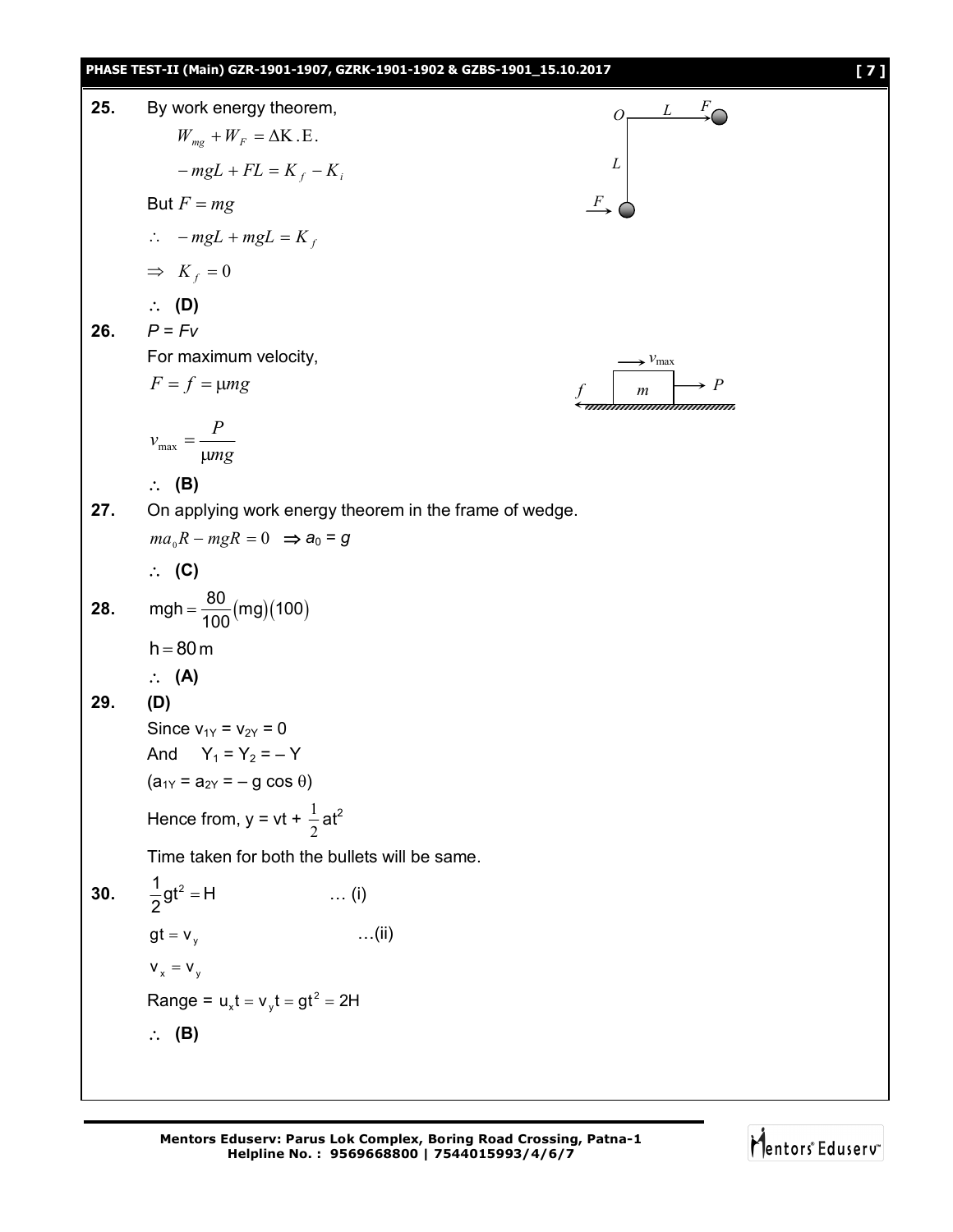## **PHASE TEST-II (Main) GZR-1901-1907, GZRK-1901-1902 & GZBS-1901\_15.10.2017 [ 7 ] 25.** By work energy theorem, *L F*  $O<sub>z</sub>$  $W_{mg} + W_F = \Delta K . E$ . *L*  $-mgL + FL = K_f - K_i$ But  $F = mg$ *F*  $\therefore$  -mgL + mgL = K<sub>f</sub>  $\Rightarrow$   $K_f = 0$  **(D) 26.**  $P = Fv$ For maximum velocity,  $v_{\text{max}}$  $F = f = \mu mg$  $\rightarrow$  *P* ummummummumm  $v_{\text{max}} = \frac{P}{\sqrt{P}}$  $_{\text{max}} = \frac{1}{\mu}$ *mg* **(B) 27.** On applying work energy theorem in the frame of wedge.  $ma_0R - mgR = 0 \implies a_0 = g$  **(C) 28.** mgh =  $\frac{80}{100}$  (mg) (100)  $=$ 100  $h = 80 m$  **(A) 29. (D)** Since  $v_{1Y} = v_{2Y} = 0$ And  $Y_1 = Y_2 = -Y$  $(a_{1Y} = a_{2Y} = -g \cos \theta)$  $\frac{1}{2}$ at<sup>2</sup> Hence from,  $y = vt + \frac{1}{2}$ Time taken for both the bullets will be same. **30.**  $\frac{1}{2}gt^2 = H$  $\ldots$  (i) 2  $gt = v_y$  …(ii)  $V_x = V_y$ Range =  $u_x t = v_y t = gt^2 = 2H$ **(B)**

**Mentors Eduserv: Parus Lok Complex, Boring Road Crossing, Patna-1 Helpline No. : 9569668800 | 7544015993/4/6/7**

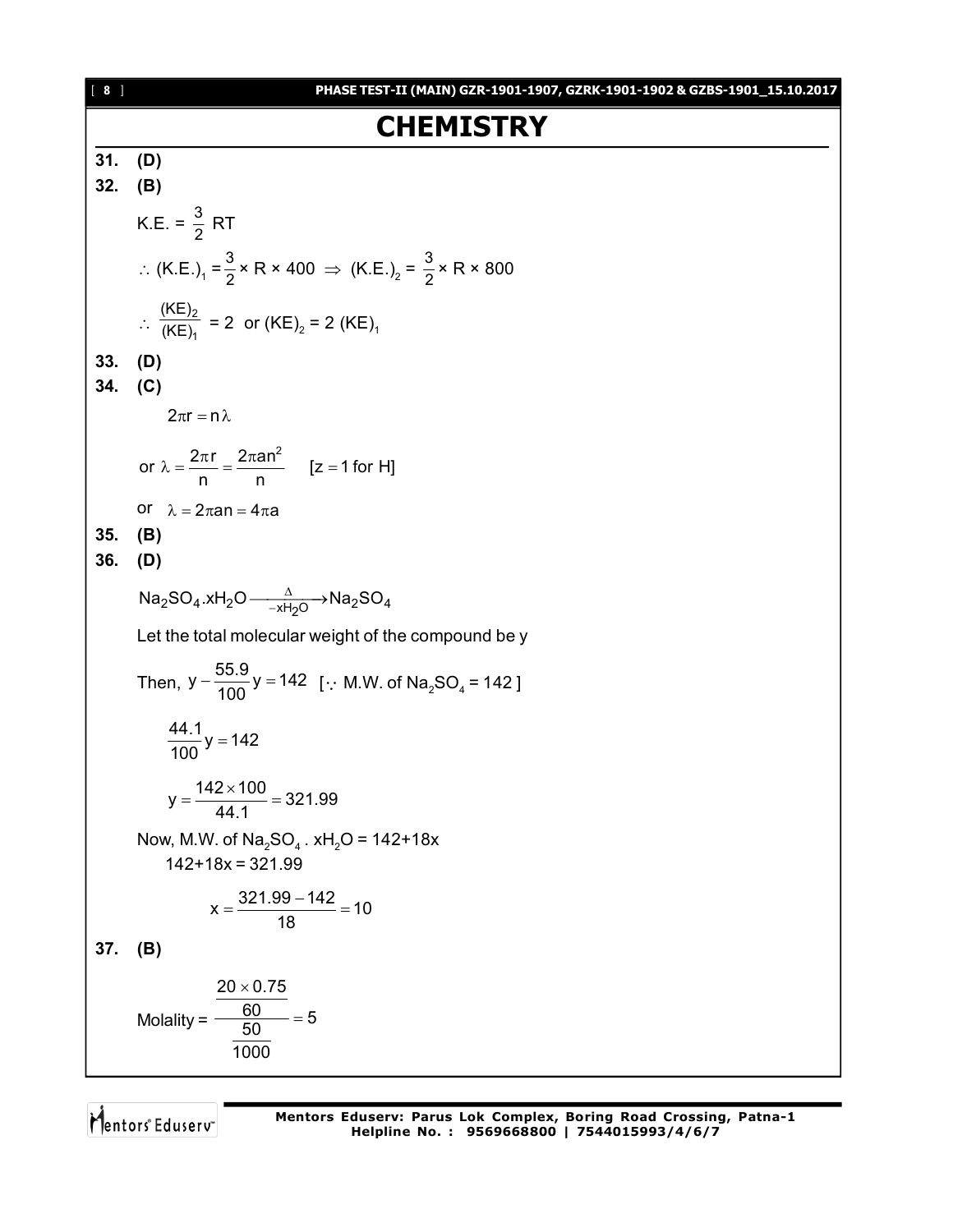## **CHEMISTRY**

| 31. (D)   |                                                                                                                 |
|-----------|-----------------------------------------------------------------------------------------------------------------|
| $32.$ (B) |                                                                                                                 |
|           |                                                                                                                 |
|           | K.E. = $\frac{3}{2}$ RT                                                                                         |
|           | ∴ (K.E.) <sub>1</sub> = $\frac{3}{2}$ × R × 400 $\Rightarrow$ (K.E.) <sub>2</sub> = $\frac{3}{2}$ × R × 800     |
|           | :. $\frac{(KE)_2}{(KE)_1}$ = 2 or $(KE)_2$ = 2 (KE) <sub>1</sub>                                                |
| $33.$ (D) |                                                                                                                 |
| 34. (C)   |                                                                                                                 |
|           |                                                                                                                 |
|           | $2\pi r = n \lambda$                                                                                            |
|           | or $\lambda = \frac{2\pi r}{r} = \frac{2\pi a n^2}{r}$ [z = 1 for H]                                            |
|           |                                                                                                                 |
|           | or $\lambda = 2\pi a n = 4\pi a$                                                                                |
| 35.       | (B)                                                                                                             |
| $36.$ (D) |                                                                                                                 |
|           |                                                                                                                 |
|           | $\textsf{Na}_2\textsf{SO}_4.\textsf{xH}_2\textsf{O}\xrightarrow{-\Delta \textsf{M}} \textsf{Na}_2\textsf{SO}_4$ |
|           | Let the total molecular weight of the compound be y                                                             |
|           | Then, $y - \frac{55.9}{100}y = 142$ [ M.W. of Na <sub>2</sub> SO <sub>4</sub> = 142]                            |
|           | $\frac{44.1}{100}$ y = 142                                                                                      |
|           | $y = \frac{142 \times 100}{44.4} = 321.99$                                                                      |
|           | Now, M.W. of $\text{Na}_2\text{SO}_4$ . xH <sub>2</sub> O = 142+18x<br>$142+18x = 321.99$                       |
|           | $x = \frac{321.99 - 142}{18} = 10$                                                                              |
| 37. (B)   |                                                                                                                 |
|           | $20 \times 0.75$<br>$\frac{60}{50}$ = 5<br>Molality =<br>1000                                                   |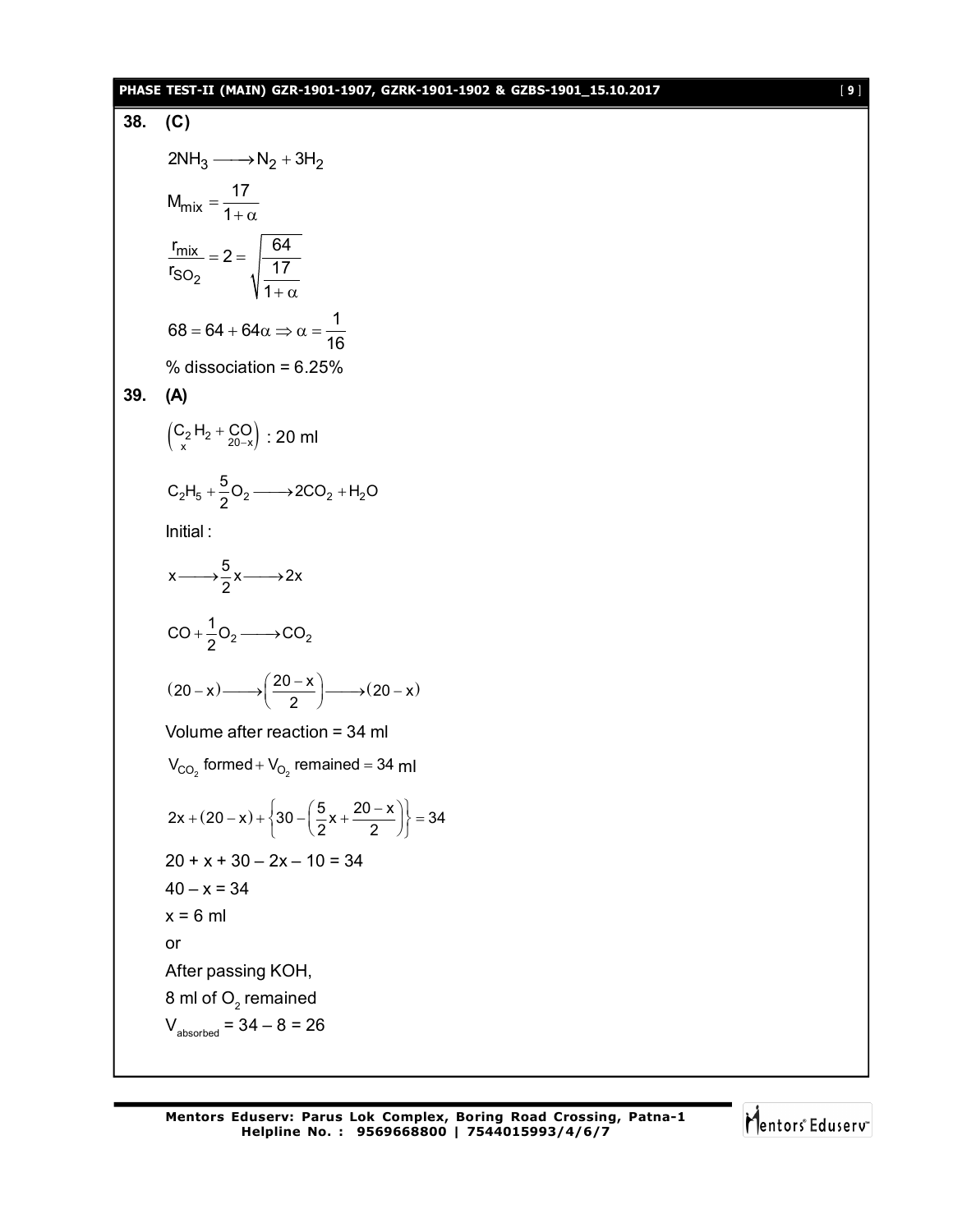## **PHASE TEST-II (MAIN) GZR-1901-1907, GZRK-1901-1902 & GZBS-1901\_15.10.2017** [ **9** ]

38. (C)  
\n
$$
2NH_3 \longrightarrow N_2 + 3H_2
$$
\n
$$
M_{mix} = \frac{17}{1+\alpha}
$$
\n
$$
\frac{r_{mix}}{r_{SO_2}} = 2 = \sqrt{\frac{64}{17}} = \sqrt{\frac{17}{1+\alpha}}
$$
\n68 = 64 + 64 $\alpha \Rightarrow \alpha = \frac{1}{16}$   
\n% dissociation = 6.25%  
\n39. (A)  
\n
$$
\left(\frac{C_2H_2 + C_2}{x} + \frac{C_2}{20-x}\right) : 20 \text{ ml}
$$
\n
$$
C_2H_5 + \frac{5}{2}O_2 \longrightarrow 2CO_2 + H_2O
$$
\nInitial:  
\n
$$
x \longrightarrow \frac{5}{2}x \longrightarrow 2x
$$
\n
$$
CO + \frac{1}{2}O_2 \longrightarrow CO_2
$$
\n
$$
(20-x) \longrightarrow \left(\frac{20-x}{2}\right) \longrightarrow (20-x)
$$
\nVolume after reaction = 34 ml  
\n
$$
V_{CO_2} \text{ formed} + V_{O_2} \text{ remained} = 34 \text{ ml}
$$
\n
$$
2x + (20-x) + \left\{30 - \left(\frac{5}{2}x + \frac{20-x}{2}\right)\right\} = 34
$$
\n
$$
20 + x + 30 - 2x - 10 = 34
$$
\n
$$
x = 6 \text{ ml}
$$
\nor  
\nAfter passing KOH,  
\n8 ml of O\_2 remained  
\n
$$
V_{absorbed} = 34 - 8 = 26
$$

Mentors<sup>e</sup> Eduserv<sup>-</sup>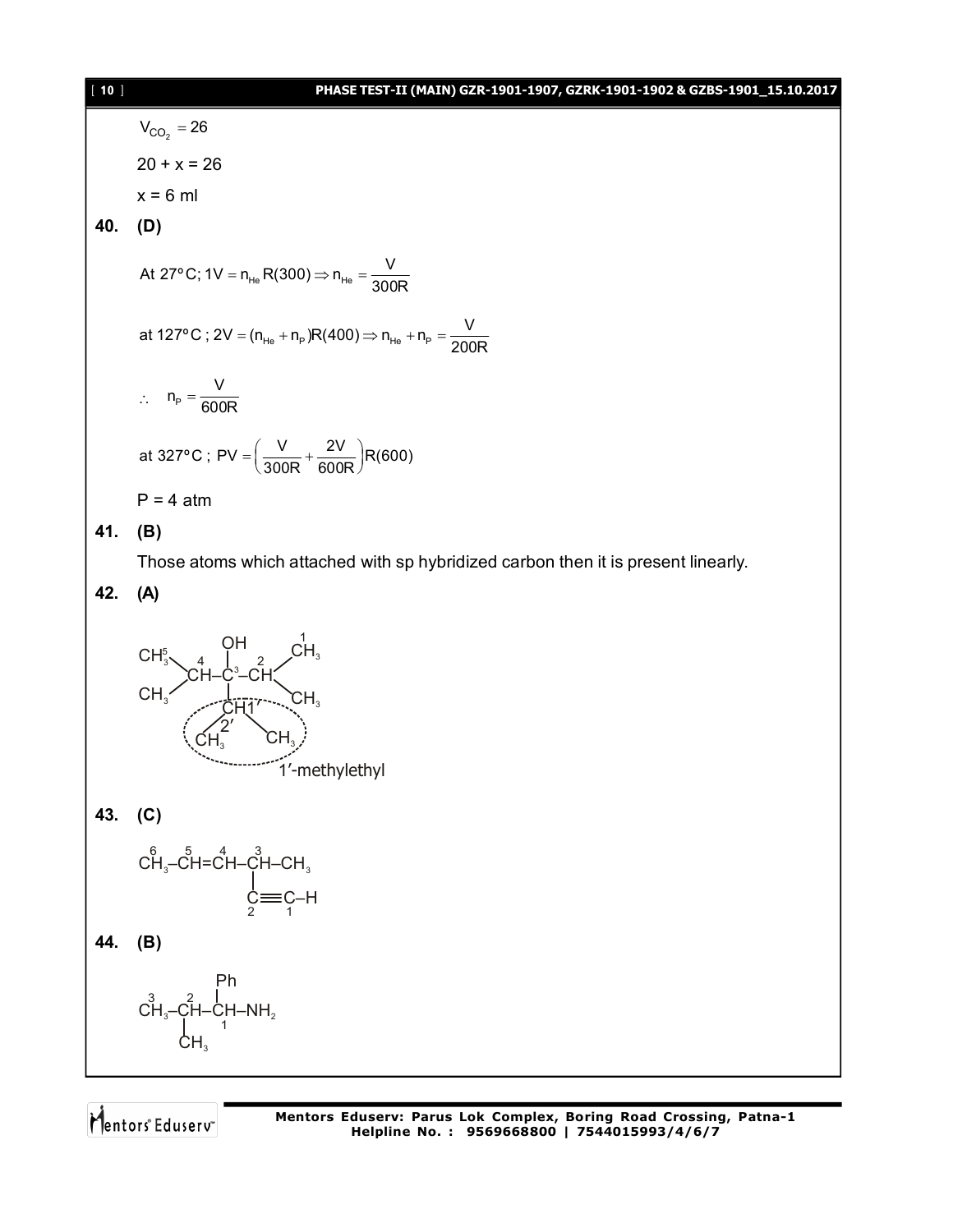| $[ 10 ]$ | PHASE TEST-II (MAIN) GZR-1901-1907, GZRK-1901-1902 & GZBS-1901_15.10.2017           |
|----------|-------------------------------------------------------------------------------------|
|          | $V_{CO_2} = 26$                                                                     |
|          | $20 + x = 26$                                                                       |
|          | $x = 6$ ml                                                                          |
| 40.      | (D)                                                                                 |
|          | At 27° C; 1V = $n_{He}R(300) \Rightarrow n_{He} = \frac{V}{300R}$                   |
|          | at 127°C; 2V = $(n_{He} + n_{p})R(400) \Rightarrow n_{He} + n_{p} = \frac{V}{200R}$ |
|          | $\therefore n_{\rm p} = \frac{V}{600R}$                                             |
|          | at 327°C; PV = $\left(\frac{V}{300R} + \frac{2V}{600R}\right)R(600)$                |
|          | $P = 4$ atm                                                                         |
| 41.      | (B)                                                                                 |
|          | Those atoms which attached with sp hybridized carbon then it is present linearly.   |
| 42.      | (A)                                                                                 |
|          | $CH_3^5$ $CH_3^2$ $CH-C^3-CH$<br>1'-methylethyl                                     |
|          | 43. (C)                                                                             |
|          | $CH_3-CH=CH-CH-CH_3$<br>$C=CA$<br>$C=CA$<br>$C=CA$                                  |
| 44.      | (B)                                                                                 |
|          | Ph                                                                                  |

 $\overrightarrow{CH_3} - \overrightarrow{CH} - \overrightarrow{CH} - \overrightarrow{NH_2}$ 1  $CH<sub>3</sub>$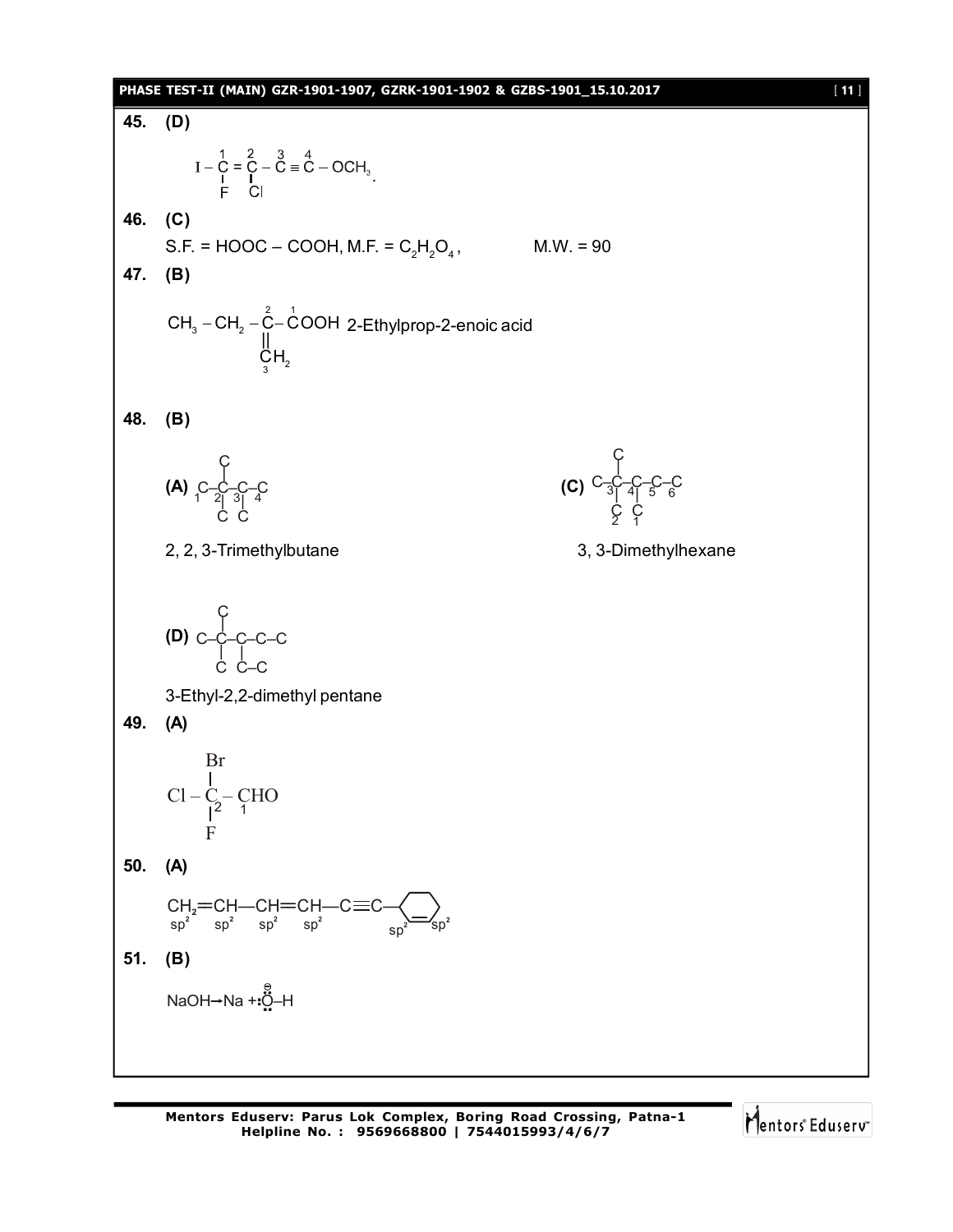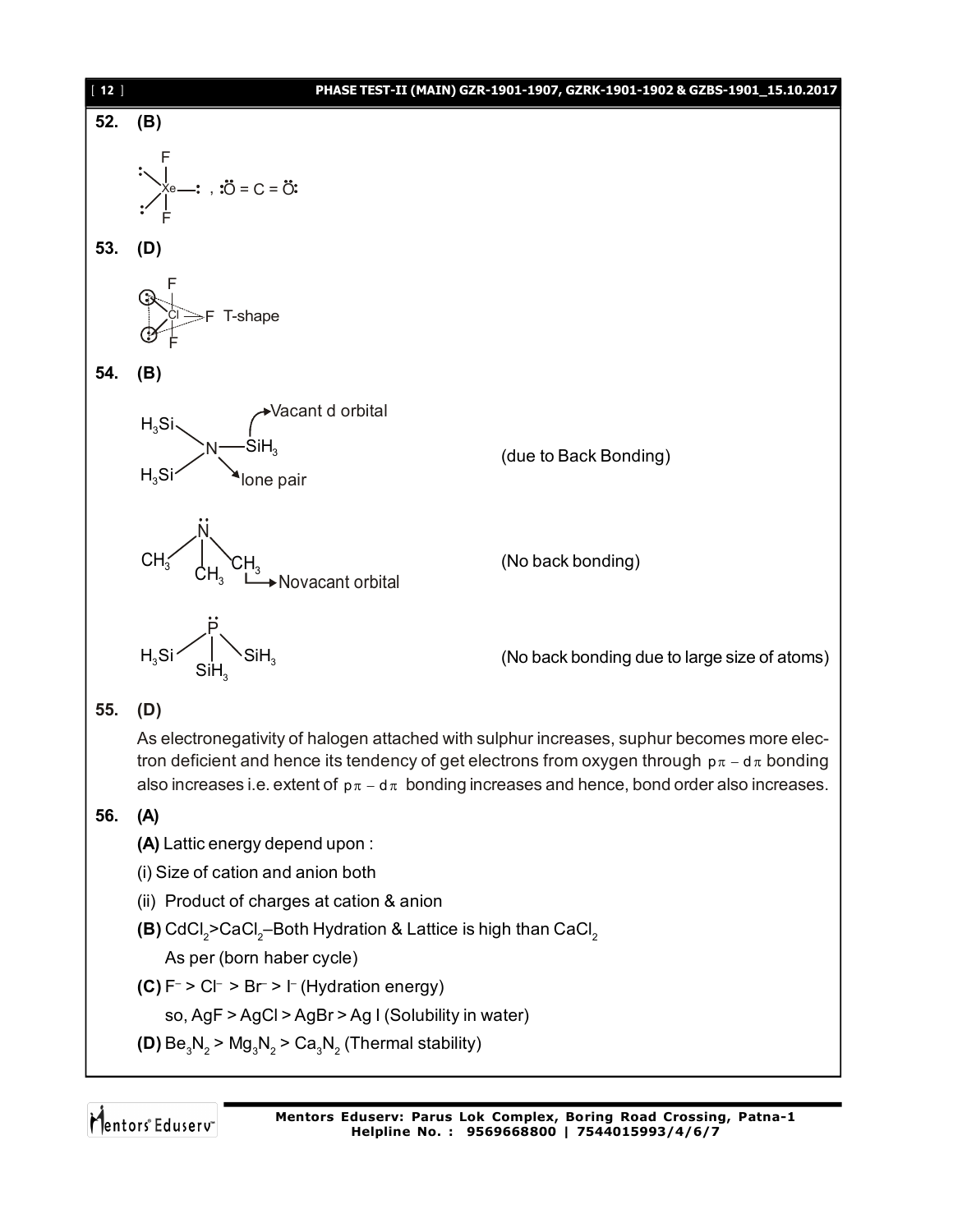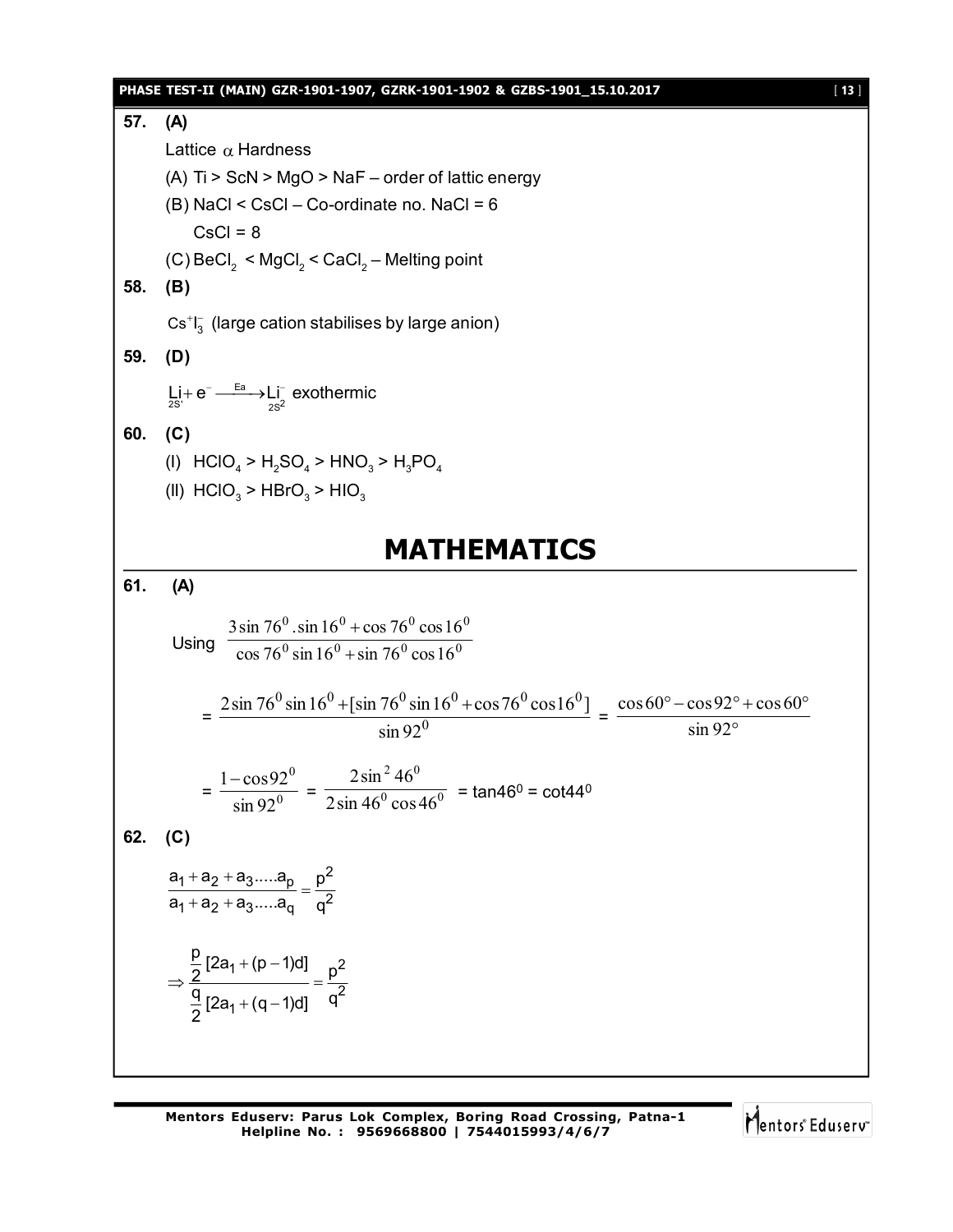#### **PHASE TEST-II (MAIN) GZR-1901-1907, GZRK-1901-1902 & GZBS-1901\_15.10.2017** [ **13** ]

**57. (A)** Lattice  $\alpha$  Hardness (A) Ti > ScN > MgO > NaF – order of lattic energy  $(B)$  NaCl < CsCl – Co-ordinate no. NaCl = 6  $CsCI = 8$ (C)  $\mathsf{BeCl}_2$  <  $\mathsf{MgCl}_2$  <  $\mathsf{CaCl}_2$  – Melting point **58. (B)**  $\text{Cs}^+ \text{I}^-_3$  (large cation stabilises by large anion) **59. (D)** Ea  $\textrm{Li} + \textrm{e}^- \xrightarrow{\textrm{Ea}} \textrm{Li}^-_\textrm{2S}^-$ exothermic **60. (C)** (I)  $HClO_4 > H_2SO_4 > HNO_3 > H_3PO_4$ (II)  $HClO<sub>3</sub> > HBrO<sub>3</sub> > HIO<sub>3</sub>$ **MATHEMATICS 61. (A)** Using  $\frac{160}{\cos 76^0 \sin 16^0 + \sin 76^0 \cos 16^0}$  $^{0}$  sin 16<sup>0</sup> + cos 76<sup>0</sup> cos 16<sup>0</sup>  $\cos 76^\circ \sin 16^\circ + \sin 76^\circ \cos 16$  $3\sin 76^{\circ}$ .sin  $16^{\circ}$  + cos  $76^{\circ}$  cos 16  $\ddot{}$  $\ddot{}$  $=$   $\frac{10000000000000000000}{\sin 920}$  $^{0}$  cin 16<sup>0</sup> +  $\left[ \sin 76^{0} \sin 16^{0} \right]$  +  $\cos 76^{0}$  cos 16<sup>0</sup> sin 92  $2\sin 76^{\circ} \sin 16^{\circ} + \left[\sin 76^{\circ} \sin 16^{\circ} + \cos 76^{\circ} \cos 16^{\circ}\right]$  $=$   $\frac{\sin 92^{\circ}}{\sin 92^{\circ}}$  $\degree$  – cos 92 $\degree$  + cos 60 $\degree$ sin 92  $\cos 60^\circ - \cos 92^\circ + \cos 60$  $=\frac{1}{\sin 92^0}$ 0 sin 92  $1 - \cos 92$  $=\frac{1}{2 \sin 46^\circ \cos 46^\circ}$ 2  $16^{0}$  $2\sin 46^\circ \cos 46$  $2\sin^2 46$  $=$  tan46<sup>0</sup> = cot44<sup>0</sup> **62. (C)**  $a_1 + a_2 + a_3$ ..... $a_p$   $p^2$  $a_1 + a_2 + a_3 - a_q$   $q^2$  $a_1 + a_2 + a_3....a_p$  p  $a_1 + a_2 + a_3....a_q$  q  $+a_2 + a$  $=$  $+a_2 + a$  $1 + (p - 1)d$   $n^2$ 2 1  $\frac{p}{2}[2a_1 + (p-1)d]$  =  $\frac{p}{2}$  $\frac{q}{6}$  [2a<sub>1</sub> + (q – 1)d] q 2  $+(p-1)$  $\Rightarrow$   $\frac{2}{\pi}$   $=$   $\frac{1}{\pi}$  $+(q-1)$ 

Mentors<sup>®</sup> Eduserv<sup>®</sup>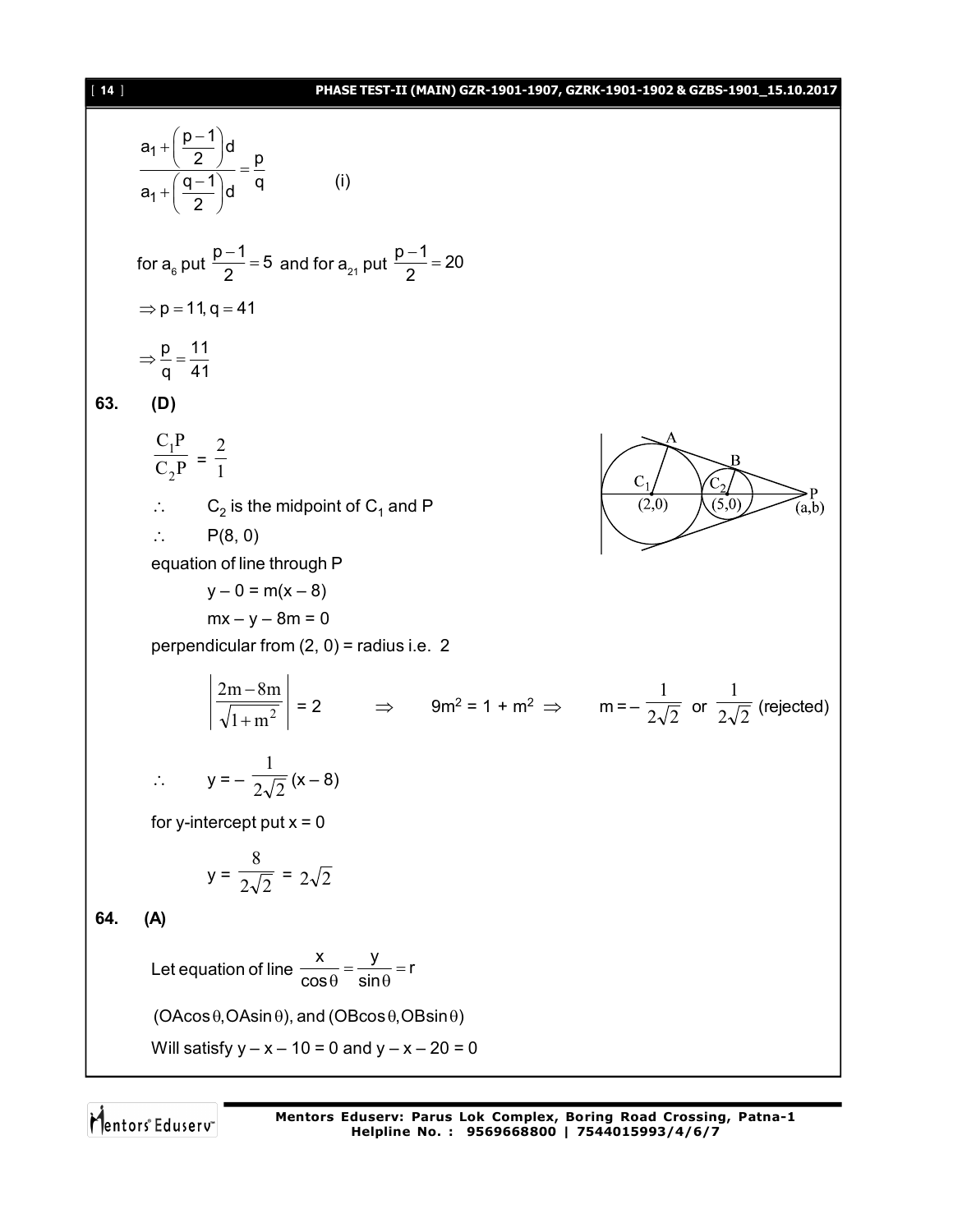#### [ **14** ] **PHASE TEST-II (MAIN) GZR-1901-1907, GZRK-1901-1902 & GZBS-1901\_15.10.2017**

$$
\frac{a_1 + (\frac{p-1}{2})d}{a_1 + (\frac{q-1}{2})d} = \frac{p}{q}
$$
\nfor a<sub>θ</sub> put  $\frac{p-1}{2} = 5$  and for a<sub>z</sub>, put  $\frac{p-1}{2} = 20$   
\n⇒ p = 11, q = 41  
\n⇒  $\frac{p}{q} = \frac{11}{41}$   
\n83. **(D)**  
\n
$$
\frac{C_1 P}{C_2 P} = \frac{2}{1}
$$
\n∴ C<sub>2</sub> is the midpoint of C<sub>1</sub> and P  
\n∴ P(8, 0)  
\nequation of line  $\frac{1}{P(0, 0)} = \frac{P(0, 0)}{P(1, 0)}$   
\n∴ P(8, 0)  
\n= perpendicular from (2, 0) = radius i.e. 2  
\n
$$
\left| \frac{2m - 8m}{\sqrt{1 + m^2}} \right| = 2
$$
\n⇒ 9m<sup>2</sup> = 1 + m<sup>2</sup> ⇒ m = - $\frac{1}{2\sqrt{2}}$  or  $\frac{1}{2\sqrt{2}}$  (rejected)  
\n∴ y = - $\frac{1}{2\sqrt{2}}$  (x – 8)  
\nfor y-intercept put x = 0  
\ny =  $\frac{8}{2\sqrt{2}} = 2\sqrt{2}$   
\n84. **(A)**  
\nLet equation of line  $\frac{x}{\cos \theta} = \frac{y}{\sin \theta} = r$   
\n(AAsch's by y = x – 10 = 0 and y = x – 20 = 0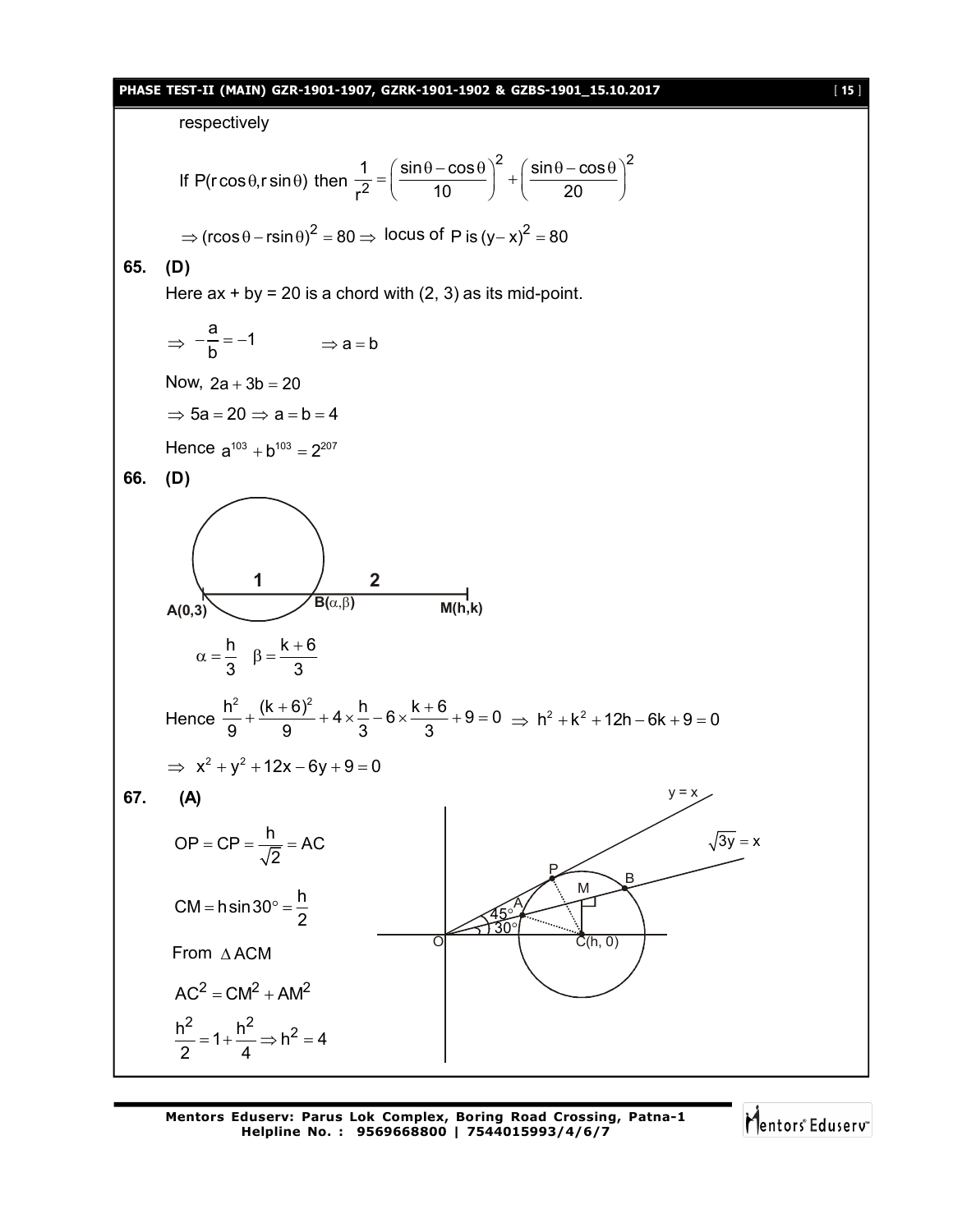#### **PHASE TEST-II (MAIN) GZR-1901-1907, GZRK-1901-1902 & GZBS-1901\_15.10.2017** [ **15** ]

respectively If  $P(r \cos \theta, r \sin \theta)$  then 2  $( sin \theta - cos \theta)^2$ 2  $1 \left( \sin \theta - \cos \theta \right)^2 \left( \sin \theta - \cos \theta \right)$  $r^2$  ( 10 ) ( 20  $=\left(\frac{\sin\theta-\cos\theta}{10}\right)^2+\left(\frac{\sin\theta-\cos\theta}{20}\right)^2$  $\Rightarrow$  (rcos  $\theta$  – rsin  $\theta$ )<sup>2</sup> = 80  $\Rightarrow$  locus of P is (y-x)<sup>2</sup> = 80 **65. (D)** Here  $ax + by = 20$  is a chord with  $(2, 3)$  as its mid-point.  $\Rightarrow$  $\frac{a}{1} = -1$  $-\frac{a}{b} = -1$   $\Rightarrow a = b$ Now,  $2a + 3b = 20$  $\Rightarrow$  5a = 20  $\Rightarrow$  a = b = 4 Hence  $a^{103} + b^{103} = 2^{207}$ **66. (D) 1 2**  $A(0,3)$  **B**( $\alpha,\beta$ ) **M(h,k)** h  $k + 6$ 3 3  $\alpha = \frac{h}{2}$   $\beta = \frac{k+1}{2}$ Hence  $\frac{h^2}{0} + \frac{(k+6)^2}{0} + 4 \times \frac{h}{2} - 6 \times \frac{k+6}{2} + 9 = 0$ 9 9 3 3  $+\frac{(k+6)^2}{8}$  + 4  $\times \frac{h}{2}$  - 6  $\times \frac{k+6}{3}$  + 9 = 0  $\Rightarrow$  h<sup>2</sup> + k<sup>2</sup> + 12h - 6k + 9 = 0  $\implies x^2 + y^2 + 12x - 6y + 9 = 0$ **67. (A)**  $OP = CP = \frac{h}{\sqrt{2}} = AC$ 2  $= CP = \frac{P}{F} = \frac{1}{2}$ CM = hsin30° =  $\frac{h}{2}$ 2  $=$  hsin 30° =  $\frac{1}{2}$ From AACM M C(h, 0) B A P  $y = x$  $\sqrt{3y} = x$  $\rm 30^{\circ}$ 45  $\overline{\mathcal{C}}$  $AC<sup>2</sup> = CM<sup>2</sup> + AM<sup>2</sup>$  $\frac{h^2}{2} = 1 + \frac{h^2}{4} \Rightarrow h^2 = 4$ 2 4  $=1+\frac{11}{4} \Rightarrow h^2 = 4$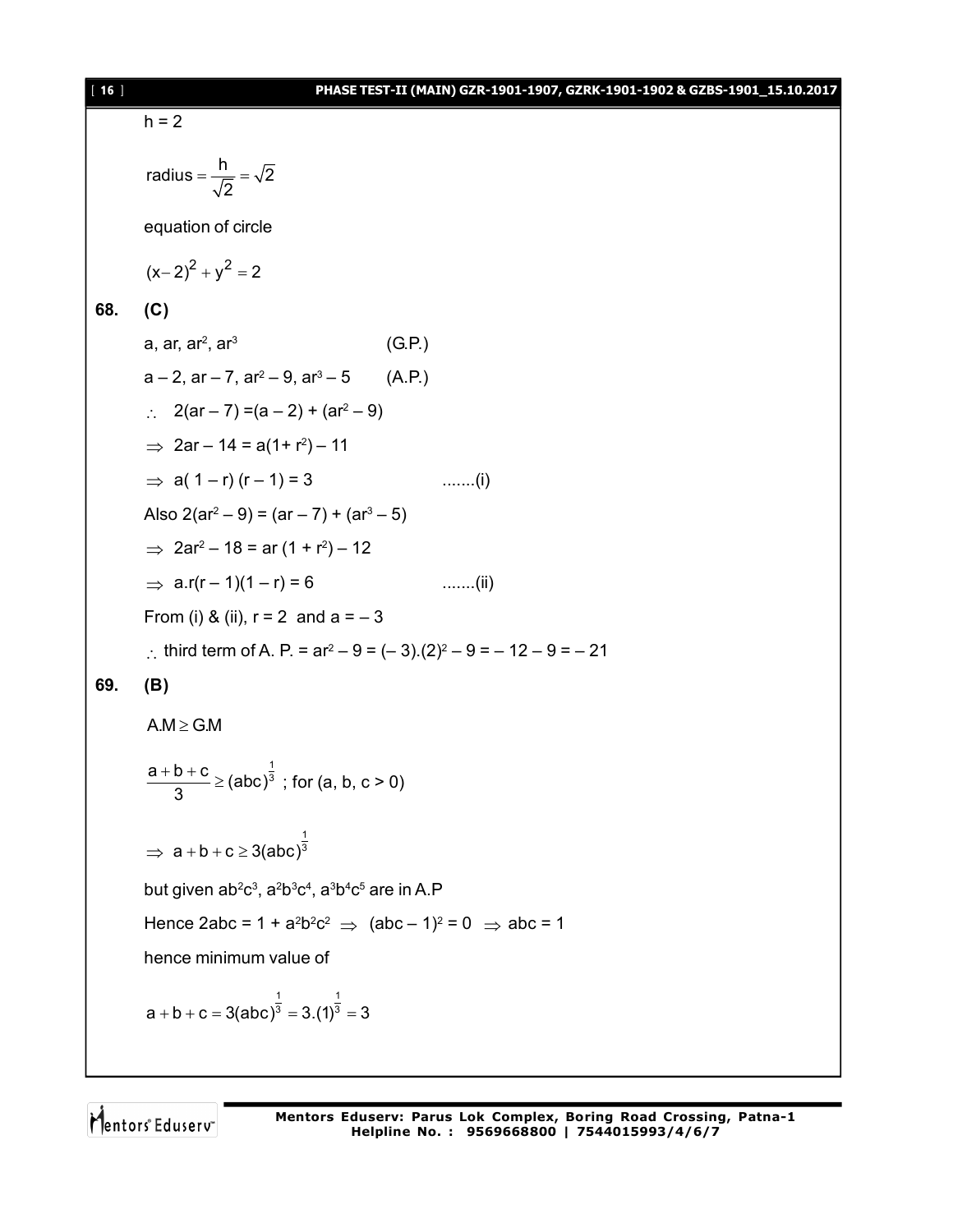#### [ **16** ] **PHASE TEST-II (MAIN) GZR-1901-1907, GZRK-1901-1902 & GZBS-1901\_15.10.2017**

 $h = 2$ radius =  $\frac{h}{\sqrt{2}} = \sqrt{2}$ 2  $=\frac{1}{\sqrt{2}}$ equation of circle  $(x-2)^2 + y^2 = 2$ **68. (C)** a, ar, ar $^{\rm 2}$ , ar $^{\rm 3}$  (G.P.) a – 2, ar – 7, ar $^2$  – 9, ar $^3$  – 5  $\qquad$  (A.P.)  $\therefore$  2(ar – 7) = (a – 2) + (ar<sup>2</sup> – 9)  $\Rightarrow$  2ar – 14 = a(1+ r<sup>2</sup>) – 11  $\Rightarrow$  a( 1 – r) (r – 1) = 3 .......(i) Also 2(ar<sup>2</sup> – 9) = (ar – 7) + (ar<sup>3</sup> – 5)  $\Rightarrow$  2ar<sup>2</sup> – 18 = ar (1 + r<sup>2</sup>) – 12  $\Rightarrow$  a.r(r – 1)(1 – r) = 6 .......(ii) From (i) & (ii),  $r = 2$  and  $a = -3$ : third term of A. P. =  $ar^2 - 9 = (-3)(2)^2 - 9 = -12 - 9 = -21$ **69. (B)**  $A.M \ge G.M$ 1  $\frac{a+b+c}{2}$   $\geq$  (abc)<sup> $\frac{1}{3}$ </sup> 3  $\frac{+b+c}{2}$  ≥ (abc)<sup>3</sup>; for (a, b, c > 0)  $\Rightarrow$ 1  $a + b + c \geq 3$ (abc)<sup>3</sup> but given ab²c<sup>3</sup>, a<sup>2</sup>b३c<sup>4</sup>, a<sup>3</sup>b4c<sup>5</sup> are in A.P Hence 2abc = 1 + a<sup>2</sup>b<sup>2</sup>c<sup>2</sup>  $\Rightarrow$  (abc – 1)<sup>2</sup> = 0  $\Rightarrow$  abc = 1 hence minimum value of

$$
a + b + c = 3(abc)^{\frac{1}{3}} = 3.(1)^{\frac{1}{3}} = 3
$$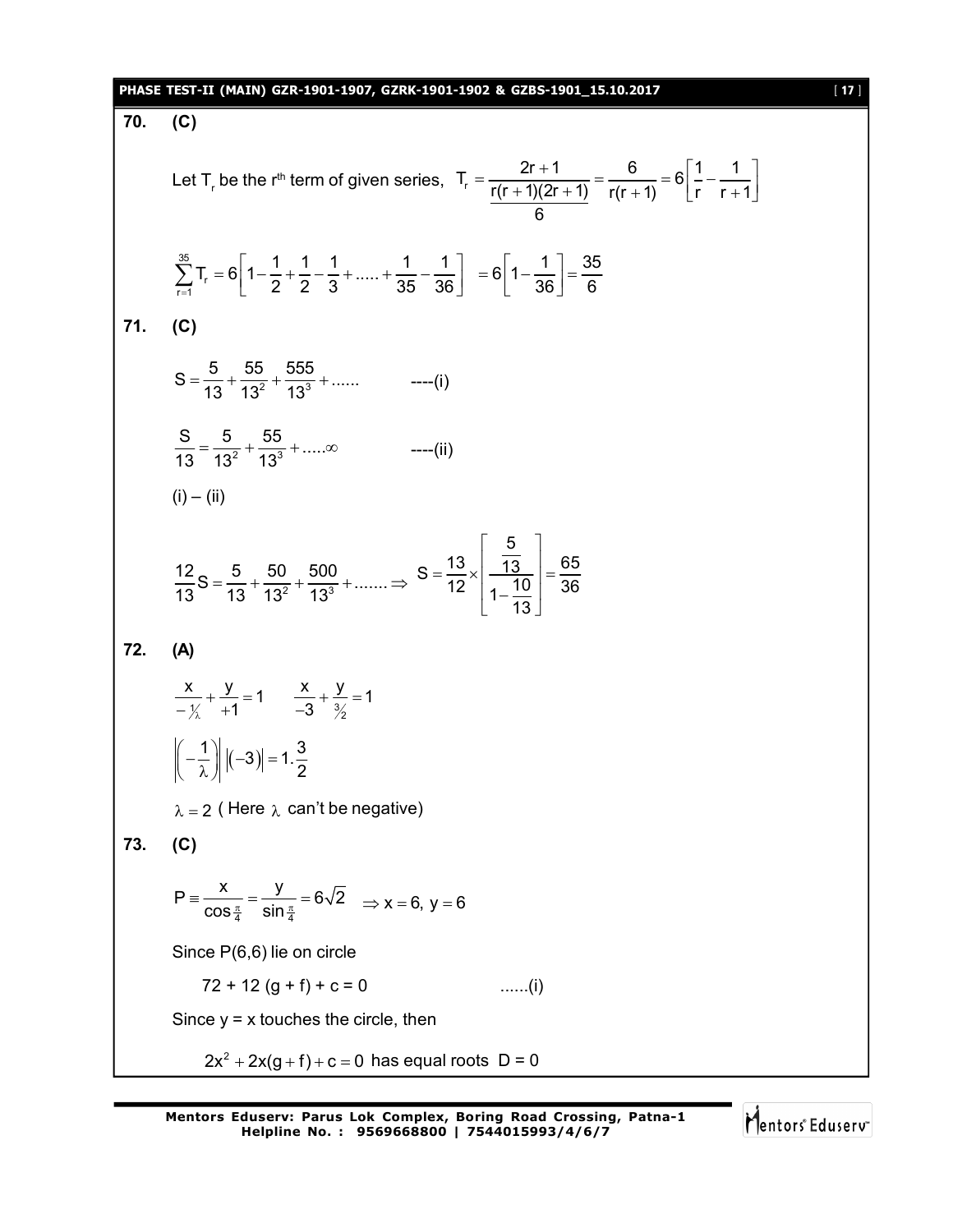#### **PHASE TEST-II (MAIN) GZR-1901-1907, GZRK-1901-1902 & GZBS-1901\_15.10.2017** [ **17** ]

**70. (C)** Let T<sub>r</sub> be the r<sup>th</sup> term of given series,  $T_r = \frac{2r + 1}{r(r + 1)(2r + 1)} = \frac{6}{r(r + 1)} = 6\left[\frac{1}{r} - \frac{1}{r + 1}\right]$ 6 35 ∠ 'r<br>r=1  $T_r = 6 \left| 1 - \frac{1}{2} + \frac{1}{2} - \frac{1}{2} + \dots + \frac{1}{25} - \frac{1}{29} \right|$  $\frac{1}{2}$   $\begin{bmatrix} 2 & 2 & 3 & 35 & 36 \end{bmatrix}$  $\sum_{r=1}^{35} T_r = 6 \left[ 1 - \frac{1}{2} + \frac{1}{2} - \frac{1}{3} + \dots + \frac{1}{35} - \frac{1}{36} \right] = 6 \left[ 1 - \frac{1}{36} \right] = \frac{35}{6}$ 36] 6  $= 6\left[1-\frac{1}{36}\right]=\frac{1}{3}$ **71. (C)**  $S = \frac{5}{12} + \frac{55}{12^2} + \frac{555}{12^3} + \dots$  $=$   $\frac{6}{13} + \frac{68}{13^2} + \frac{686}{13^3} + \dots$  ---- (i) 2  $12^3$  $S = \frac{5}{10^{2}} + \frac{55}{10^{3}} + \dots$  $\frac{6}{13} = \frac{6}{13^2} + \frac{66}{13^3} + \dots \infty$  ----(ii)  $(i) - (ii)$  $\frac{12}{12}$ S =  $\frac{5}{12}$  +  $\frac{50}{13^2}$  +  $\frac{500}{13^3}$  + .......  $13$  13  $13^2$  13  $=\frac{6}{10}+\frac{60}{102}+\frac{600}{103}+\dots \infty$ 5  $S = \frac{13}{12} \times \left| \frac{\overline{13}}{\overline{13}} \right| = \frac{65}{22}$  $\begin{array}{|c|c|c|c|c|} \hline 12 & 1-10 & 36 \ \hline 1 & 10 & 36 \ \hline \end{array}$ 13  $\begin{array}{ccc} \vert & 5 & \vert \end{array}$  $\frac{1}{13}$  $=\frac{18}{12} \times \left| \frac{13}{10} \right| = \frac{1}{2}$  $1 - \frac{10}{10}$  $\lfloor$  13  $\rfloor$ **72. (A)**  $\frac{x}{\sqrt{x}} + \frac{y}{+1} = 1$  $\begin{matrix} 2 & +1 \\ 2 & -1 \end{matrix}$  $+\frac{y}{4}$  = '  $-\frac{1}{\lambda}$  +1  $-3$   $\frac{3}{2}$  $\frac{x}{2} + \frac{y}{3} = 1$ 3  $+\frac{y}{\gamma} = 1$  $\overline{\phantom{a}}$  $\left|\frac{1}{2}\right| |(-3)| = 1.\frac{3}{2}$ 2  $\left(-\frac{1}{\lambda}\right)\left|(-3)\right|=\infty$  $\lambda = 2$  (Here  $\lambda$  can't be negative) **73. (C)** 4 UHL 4  $P \equiv \frac{x}{x} = \frac{y}{x} = 6\sqrt{2}$  $\equiv \frac{\kappa}{\cos \frac{\pi}{4}} = \frac{y}{\sin \frac{\pi}{4}} = 6\sqrt{2} \implies x = 6, y = 6$ Since P(6,6) lie on circle  $72 + 12 (g + f) + c = 0$  ......(i) Since  $y = x$  touches the circle, then  $2x^2 + 2x(g + f) + c = 0$  has equal roots  $D = 0$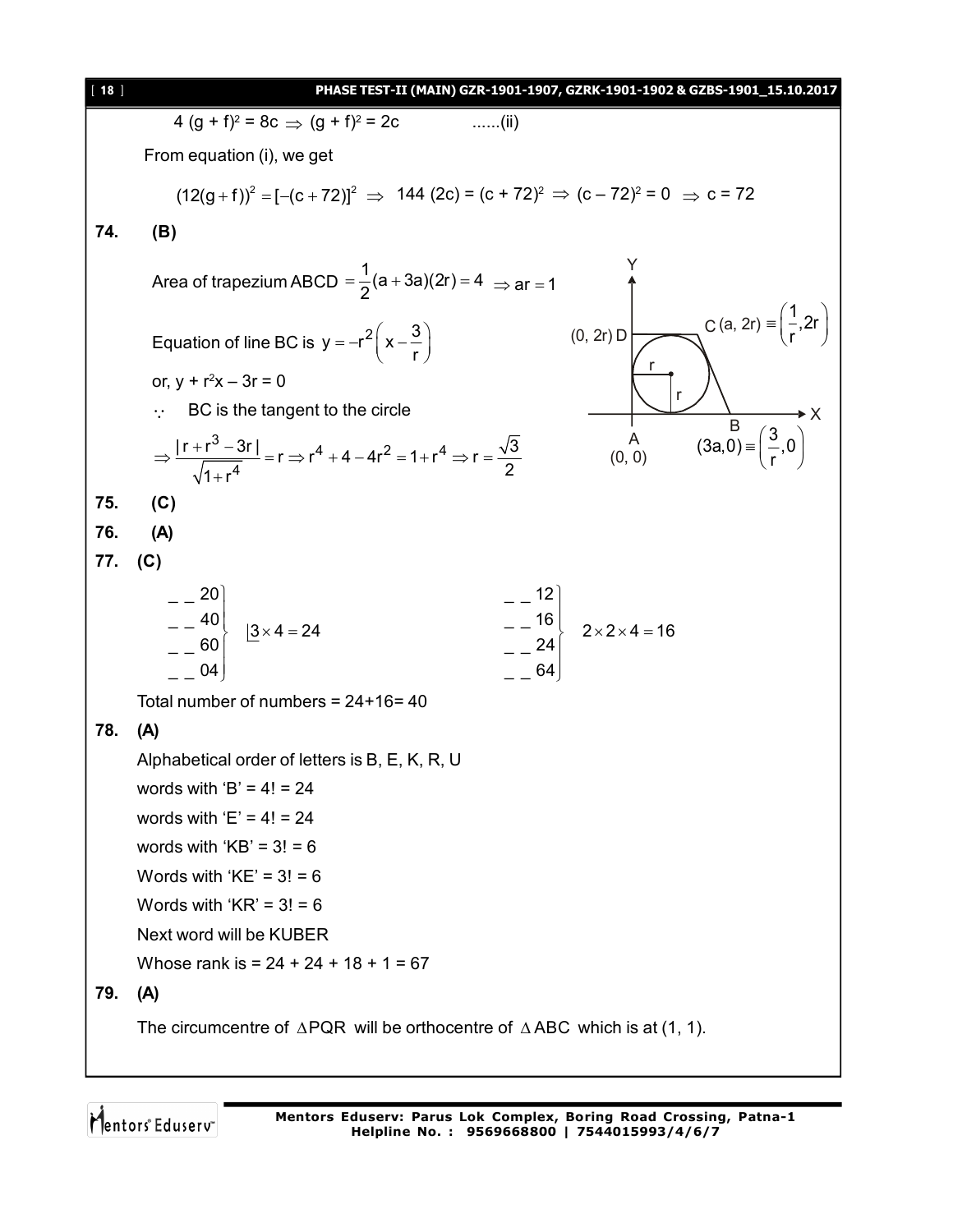| $[18]$ | PHASE TEST-II (MAIN) GZR-1901-1907, GZRK-1901-1902 & GZBS-1901_15.10.2017                                                                                                                                                                                                            |
|--------|--------------------------------------------------------------------------------------------------------------------------------------------------------------------------------------------------------------------------------------------------------------------------------------|
|        | 4 $(g + f)^2 = 8c \implies (g + f)^2 = 2c$<br>$\ldots$ (ii)                                                                                                                                                                                                                          |
|        | From equation (i), we get                                                                                                                                                                                                                                                            |
|        | $(12(g + f))^{2} = [-(c + 72)]^{2} \Rightarrow 144 (2c) = (c + 72)^{2} \Rightarrow (c - 72)^{2} = 0 \Rightarrow c = 72$                                                                                                                                                              |
| 74.    | (B)                                                                                                                                                                                                                                                                                  |
|        |                                                                                                                                                                                                                                                                                      |
|        | Area of trapezium ABCD = $\frac{1}{2}$ (a + 3a)(2r) = 4 $\Rightarrow$ ar = 1                                                                                                                                                                                                         |
|        | C (a, 2r) = $\frac{1}{r}$ , 2r                                                                                                                                                                                                                                                       |
|        | $(0, 2r)$ D<br>Equation of line BC is $y = -r^2\left(x - \frac{3}{r}\right)$                                                                                                                                                                                                         |
|        | or, $y + r^2x - 3r = 0$                                                                                                                                                                                                                                                              |
|        | BC is the tangent to the circle<br>$\cdot$ .                                                                                                                                                                                                                                         |
|        | $\overline{B}$<br>(3a,0) = $\overline{(\frac{3}{r},0)}$<br>$A$<br>(0, 0)<br>$\Rightarrow \frac{ \mathbf{r}+\mathbf{r}^{3}-3\mathbf{r} }{\sqrt{1+\mathbf{r}^{4}}}=\mathbf{r} \Rightarrow \mathbf{r}^{4}+4-4\mathbf{r}^{2}=1+\mathbf{r}^{4} \Rightarrow \mathbf{r}=\frac{\sqrt{3}}{2}$ |
| 75.    | (C)                                                                                                                                                                                                                                                                                  |
| 76.    | (A)                                                                                                                                                                                                                                                                                  |
| 77.    | (C)                                                                                                                                                                                                                                                                                  |
|        | $\begin{bmatrix} - & -20 \\ - & 40 \\ - & 60 \end{bmatrix}$ $\begin{bmatrix} 3 \times 4 = 24 \end{bmatrix}$<br>$\begin{vmatrix} - & -16 \\ - & 24 \end{vmatrix}$ 2 × 2 × 4 = 16<br>04                                                                                                |
|        | Total number of numbers = $24+16=40$                                                                                                                                                                                                                                                 |
| 78.    | (A)                                                                                                                                                                                                                                                                                  |
|        | Alphabetical order of letters is B, E, K, R, U                                                                                                                                                                                                                                       |
|        | words with 'B' = $4! = 24$                                                                                                                                                                                                                                                           |
|        | words with 'E' = $4! = 24$                                                                                                                                                                                                                                                           |
|        | words with ' $KB' = 3! = 6$                                                                                                                                                                                                                                                          |
|        | Words with ' $KE$ ' = 3! = 6                                                                                                                                                                                                                                                         |
|        | Words with ' $KR' = 3! = 6$                                                                                                                                                                                                                                                          |
|        | Next word will be KUBER                                                                                                                                                                                                                                                              |
|        | Whose rank is = $24 + 24 + 18 + 1 = 67$                                                                                                                                                                                                                                              |
| 79.    | (A)                                                                                                                                                                                                                                                                                  |
|        | The circumcentre of $\triangle PQR$ will be orthocentre of $\triangle ABC$ which is at (1, 1).                                                                                                                                                                                       |
|        |                                                                                                                                                                                                                                                                                      |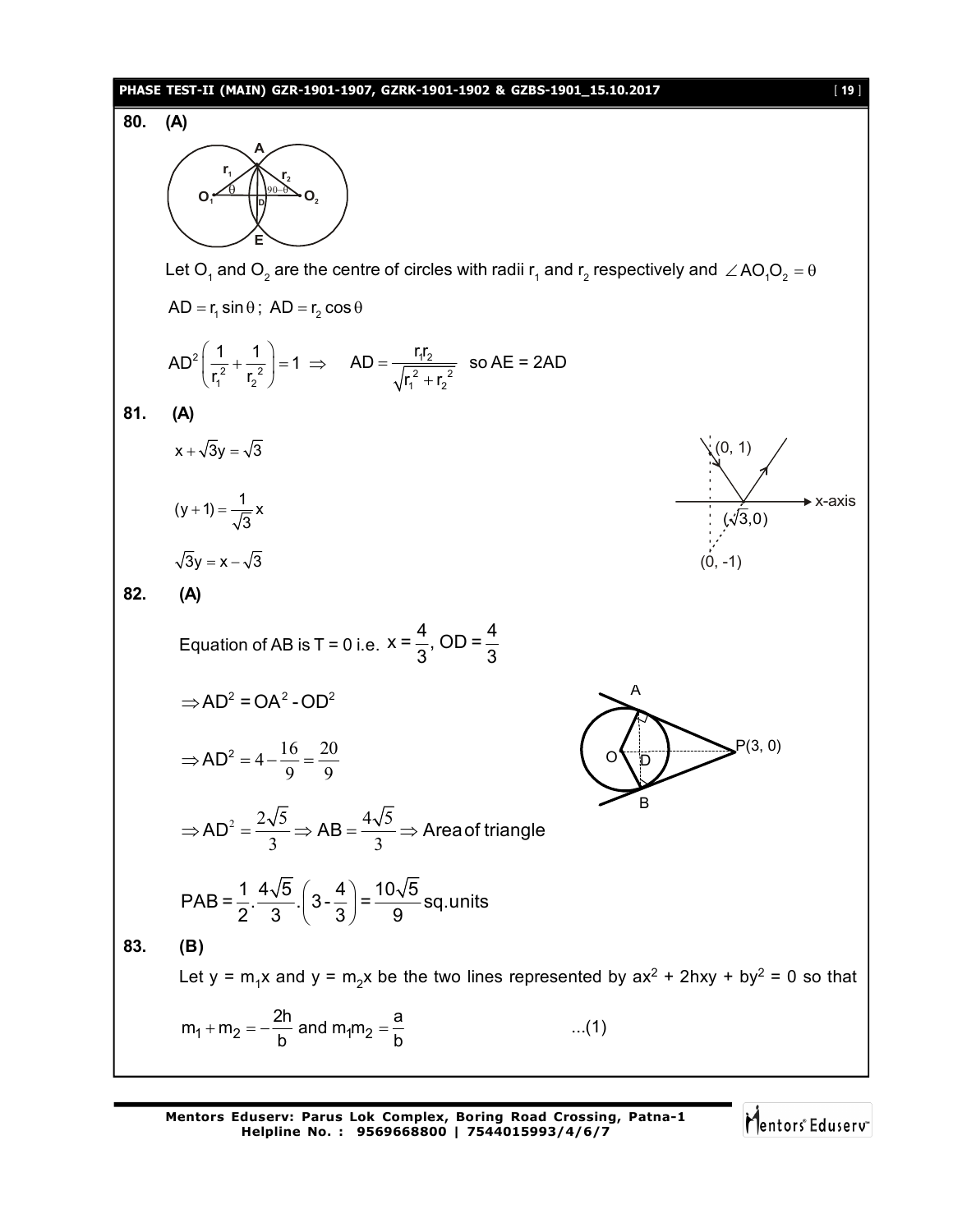#### **PHASE TEST-II (MAIN) GZR-1901-1907, GZRK-1901-1902 & GZBS-1901\_15.10.2017** [ **19** ]



**Mentors Eduserv: Parus Lok Complex, Boring Road Crossing, Patna-1 Helpline No. : 9569668800 | 7544015993/4/6/7**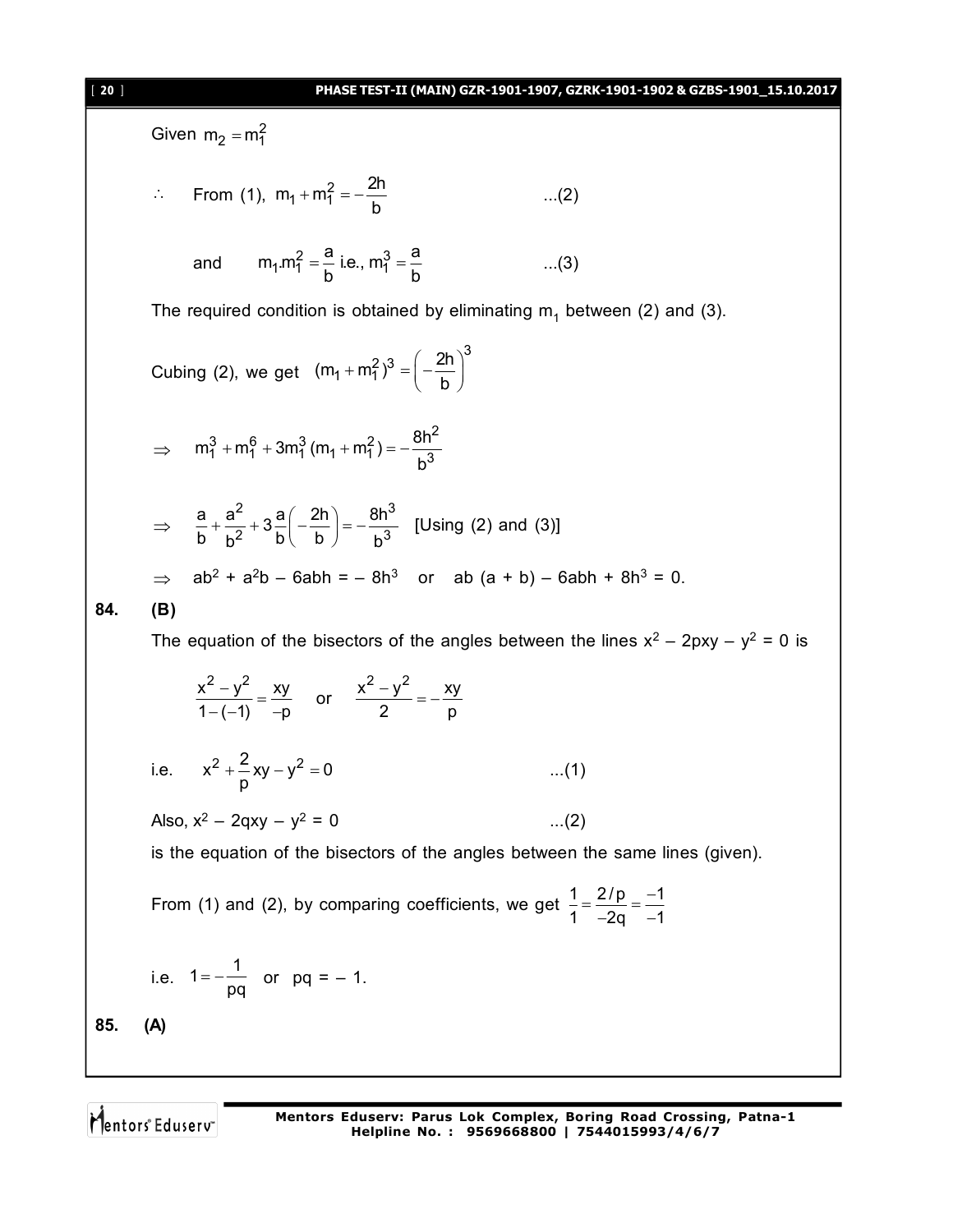#### [ **20** ] **PHASE TEST-II (MAIN) GZR-1901-1907, GZRK-1901-1902 & GZBS-1901\_15.10.2017**

Given  $m_2 = m_1^2$ 

.. From (1), 
$$
m_1 + m_1^2 = -\frac{2h}{b}
$$
 ...(2)

and 
$$
m_1.m_1^2 = \frac{a}{b}
$$
 i.e.,  $m_1^3 = \frac{a}{b}$  ...(3)

The required condition is obtained by eliminating  $m_1$  between (2) and (3).

Cubing (2), we get 3  $(m_1 + m_1^2)^3 = \left(-\frac{2h}{h}\right)$ b  $+m_1^2)^3 = \left(-\frac{2h}{b}\right)^3$ 

$$
\Rightarrow \quad m_1^3 + m_1^6 + 3m_1^3 (m_1 + m_1^2) = -\frac{8h^2}{b^3}
$$

$$
\Rightarrow \frac{a}{b} + \frac{a^2}{b^2} + 3\frac{a}{b} \left( -\frac{2h}{b} \right) = -\frac{8h^3}{b^3}
$$
 [Using (2) and (3)]  
\n⇒ ab<sup>2</sup> + a<sup>2</sup>b - 6abh = -8h<sup>3</sup> or ab (a + b) - 6abh + 8h<sup>3</sup> = 0.

$$
84. (B)
$$

The equation of the bisectors of the angles between the lines  $x^2 - 2pxy - y^2 = 0$  is

$$
\frac{x^2 - y^2}{1 - (-1)} = \frac{xy}{-p} \quad \text{or} \quad \frac{x^2 - y^2}{2} = -\frac{xy}{p}
$$

i.e. 
$$
x^2 + \frac{2}{p}xy - y^2 = 0
$$
 ...(1)

Also, x $^2$  – 2qxy – y $^2$ 

is the equation of the bisectors of the angles between the same lines (given).

From (1) and (2), by comparing coefficients, we get  $\frac{1}{2} = \frac{2}{p} = \frac{-1}{4}$ 1  $-2q -1$  $=\frac{2/p}{2}=\frac{-}{2}$ –2q –1

i.e. 
$$
1 = -\frac{1}{pq}
$$
 or  $pq = -1$ .  
(A)

**85. (A)**

Mentors Eduserv

 $\dots(2)$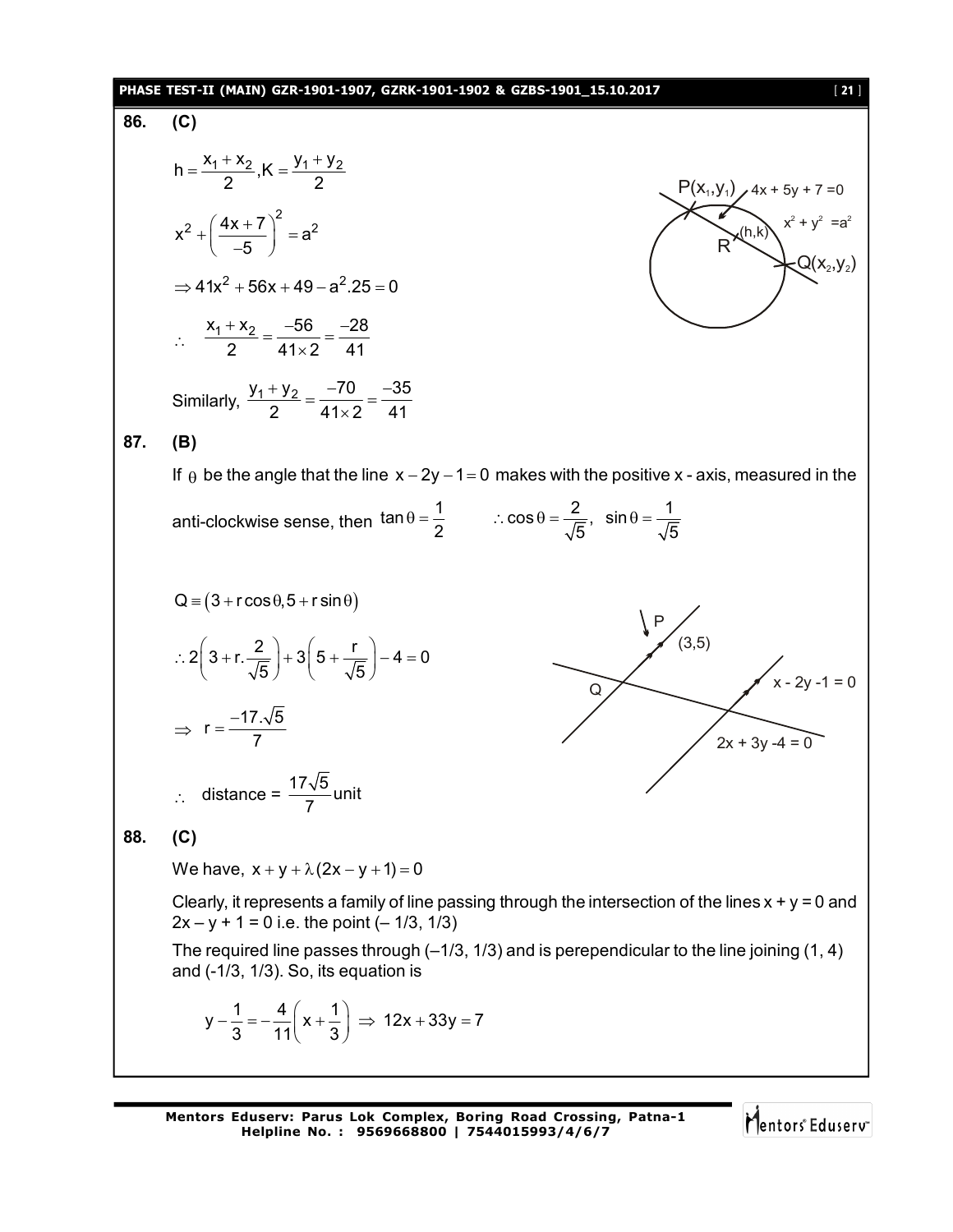#### **PHASE TEST-II (MAIN) GZR-1901-1907, GZRK-1901-1902 & GZBS-1901\_15.10.2017** [ **21** ]

#### **86. (C)**

h = 
$$
\frac{x_1 + x_2}{2}
$$
, K =  $\frac{y_1 + y_2}{2}$   
\nx<sup>2</sup> +  $\left(\frac{4x + 7}{-5}\right)^2$  = a<sup>2</sup>  
\n $\Rightarrow$  41x<sup>2</sup> + 56x + 49 - a<sup>2</sup> .25 = 0  
\n $\therefore \frac{x_1 + x_2}{2} = \frac{-56}{41 \times 2} = \frac{-28}{41}$ 

Similarly,  $\frac{y_1 + y_2}{2} = \frac{-70}{41 \times 2} = \frac{-35}{41}$  $\frac{+y_2}{2} = \frac{-70}{110} = \frac{-3}{11}$  $\times$ 

$$
87. (B)
$$

If  $\theta$  be the angle that the line  $x - 2y - 1 = 0$  makes with the positive x - axis, measured in the anti-clockwise sense, then  $\tan \theta = \frac{1}{2}$   $\therefore \cos \theta = \frac{2}{\sqrt{5}}$ ,  $\sin \theta = \frac{1}{\sqrt{5}}$ 2  $\sqrt{5}$   $\sqrt{5}$  $\theta = \frac{1}{2}$  :  $\cos \theta = \frac{2}{\sqrt{2}}$ ,  $\sin \theta = -$ 

Q = (3 + r cos θ, 5 + r sin θ)  
\n∴ 2(3 + r. 
$$
\frac{2}{\sqrt{5}}
$$
) + 3(5 +  $\frac{r}{\sqrt{5}}$ ) – 4 = 0  
\n⇒ r =  $\frac{-17\sqrt{5}}{7}$   
\n∴ distance =  $\frac{17\sqrt{5}}{7}$  unit  
\n88. (C)  
\nWe have, x + y + λ(2x – y + 1) = 0  
\nClearly, it represents a family of line passing through the intersection of the lines x + y = 0 and  
\n2x – y + 1 = 0 i.e. the point (– 1/3, 1/3)  
\nThe required line passes through (–1/3, 1/3) and is perpendicular to the line joining (1, 4)  
\nand (-1/3, 1/3). So, its equation is  
\n
$$
y - \frac{1}{3} = -\frac{4}{11}(x + \frac{1}{3})
$$
 ⇒ 12x + 33y = 7

**Mentors Eduserv: Parus Lok Complex, Boring Road Crossing, Patna-1 Helpline No. : 9569668800 | 7544015993/4/6/7**

Mentors Eduserv

 $Q(x_2, y_2)$ 

 $x^2 + y^2 = a^2$ 

 $P(X_1, Y_1)$   $\neq$  4x + 5y + 7 = 0

(h,k)

R